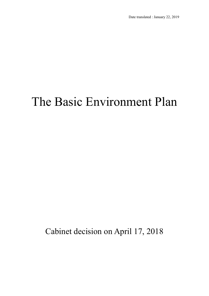# The Basic Environment Plan

Cabinet decision on April 17, 2018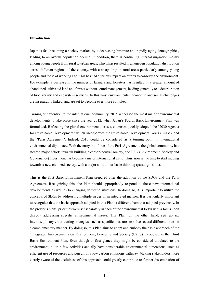#### **Introduction**

Japan is fast becoming a society marked by a decreasing birthrate and rapidly aging demographics, leading to an overall population decline. In addition, there is continuing internal migration mainly among young people from rural to urban areas, which has resulted in an uneven population distribution across different regions of the country, with a sharp drop in rural areas particularly among young people and those of working age. This has had a serious impact on efforts to conserve the environment. For example, a decrease in the number of farmers and foresters has resulted in a greater amount of abandoned cultivated land and forests without sound management, leading generally to a deterioration of biodiversity and ecosystem services. In this way, environmental, economic and social challenges are inseparably linked, and are set to become ever-more complex.

Turning our attention to the international community, 2015 witnessed the most major environmental developments to take place since the year 2012, when Japan's Fourth Basic Environment Plan was formulated. Reflecting the global environmental crises, countries quickly adopted the "2030 Agenda for Sustainable Development" which incorporates the Sustainable Development Goals (SDGs), and the "Paris Agreement". Indeed, 2015 could be considered as a turning point in international environmental diplomacy. With the entry into force of the Paris Agreement, the global community has steered major efforts towards building a carbon-neutral society, and ESG (Environment, Society and Governance) investment has become a major international trend. Thus, now is the time to start moving towards a new civilized society, with a major shift in our basic thinking (paradigm shift).

This is the first Basic Environment Plan prepared after the adoption of the SDGs and the Paris Agreement. Recognizing this, the Plan should appropriately respond to these new international developments as well as to changing domestic situations. In doing so, it is important to utilize the concepts of SDGs by addressing multiple issues in an integrated manner. It is particularly important to recognize that the basic approach adopted in this Plan is different from that adopted previously. In the previous plans, priorities were set separately in each of the environmental fields with a focus upon directly addressing specific environmental issues. This Plan, on the other hand, sets up six interdisciplinary cross-cutting strategies, such as specific measures to solve several different issues in a complementary manner. By doing so, this Plan aims to adopt and embody the basic approach of the "Integrated Improvements on Environment, Economy and Society (II2ES)" proposed in the Third Basic Environment Plan. Even though at first glance they might be considered unrelated to the environment, quite a few activities actually have considerable environmental dimensions, such as efficient use of resources and pursuit of a low carbon emissions pathway. Making stakeholders more clearly aware of the usefulness of this approach could greatly contribute to further dissemination of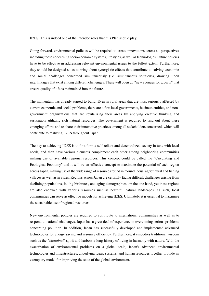II2ES. This is indeed one of the intended roles that this Plan should play.

Going forward, environmental policies will be required to create innovations across all perspectives including those concerning socio-economic systems, lifestyles, as well as technologies. Future policies have to be effective in addressing relevant environmental issues to the fullest extent. Furthermore, they should be designed so as to bring about synergistic effects that contribute to solving economic and social challenges concerned simultaneously (i.e. simultaneous solutions), drawing upon interlinkages that exist among different challenges. These will open up "new avenues for growth" that ensure quality of life is maintained into the future.

The momentum has already started to build. Even in rural areas that are most seriously affected by current economic and social problems, there are a few local governments, business entities, and nongovernment organizations that are revitalizing their areas by applying creative thinking and sustainably utilizing rich natural resources. The government is required to find out about these emerging efforts and to share their innovative practices among all stakeholders concerned, which will contribute to realizing II2ES throughout Japan.

The key to achieving II2ES is to first form a self-reliant and decentralized society in tune with local needs, and then have various elements complement each other among neighboring communities making use of available regional resources. This concept could be called the "Circulating and Ecological Economy" and it will be an effective concept to maximize the potential of each region across Japan, making use of the wide range of resources found in mountainous, agricultural and fishing villages as well as in cities. Regions across Japan are certainly facing difficult challenges arising from declining populations, falling birthrates, and aging demographics, on the one hand, yet these regions are also endowed with various resources such as beautiful natural landscapes. As such, local communities can serve as effective models for achieving II2ES. Ultimately, it is essential to maximize the sustainable use of regional resources.

New environmental policies are required to contribute to international communities as well as to respond to national challenges. Japan has a great deal of experience in overcoming serious problems concerning pollution. In addition, Japan has successfully developed and implemented advanced technologies for energy saving and resource efficiency. Furthermore, it embodies traditional wisdom such as the "*Mottainai*" spirit and harbors a long history of living in harmony with nature. With the exacerbation of environmental problems on a global scale, Japan's advanced environmental technologies and infrastructures, underlying ideas, systems, and human resources together provide an exemplary model for improving the state of the global environment.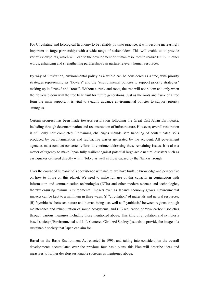For Circulating and Ecological Economy to be reliably put into practice, it will become increasingly important to forge partnerships with a wide range of stakeholders. This will enable us to provide various viewpoints, which will lead to the development of human resources to realize II2ES. In other words, enhancing and strengthening partnerships can nurture relevant human resources.

By way of illustration, environmental policy as a whole can be considered as a tree, with priority strategies representing its "flowers" and the "environmental policies to support priority strategies" making up its "trunk" and "roots". Without a trunk and roots, the tree will not bloom and only when the flowers bloom will the tree bear fruit for future generations. Just as the roots and trunk of a tree form the main support, it is vital to steadily advance environmental policies to support priority strategies.

Certain progress has been made towards restoration following the Great East Japan Earthquake, including through decontamination and reconstruction of infrastructure. However, overall restoration is still only half completed. Remaining challenges include safe handling of contaminated soils produced by decontamination and radioactive wastes generated by the accident. All government agencies must conduct concerted efforts to continue addressing these remaining issues. It is also a matter of urgency to make Japan fully resilient against potential large-scale natural disasters such as earthquakes centered directly within Tokyo as well as those caused by the Nankai Trough.

Over the course of humankind's coexistence with nature, we have built up knowledge and perspective on how to thrive on this planet. We need to make full use of this capacity in conjunction with information and communication technologies (ICTs) and other modern science and technologies, thereby ensuring minimal environmental impacts even as Japan's economy grows. Environmental impacts can be kept to a minimum in three ways: (i) "circulation" of materials and natural resources, (ii) "symbiosis" between nature and human beings, as well as "symbiosis" between regions through maintenance and rehabilitation of sound ecosystems, and (iii) realization of "low carbon" societies through various measures including those mentioned above. This kind of circulation and symbiosis based society ("Environmental and Life Centered Civilized Society") stands to provide the image of a sustainable society that Japan can aim for.

Based on the Basic Environment Act enacted in 1993, and taking into consideration the overall developments accumulated over the previous four basic plans, this Plan will describe ideas and measures to further develop sustainable societies as mentioned above.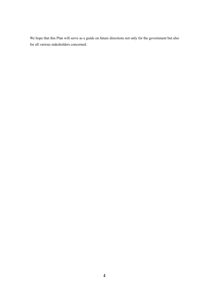We hope that this Plan will serve as a guide on future directions not only for the government but also for all various stakeholders concerned.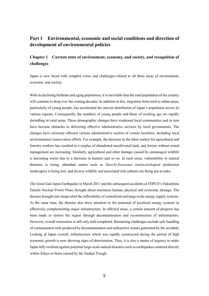# **Part 1 Environmental, economic and social conditions and direction of development of environmental policies**

# **Chapter 1 Current state of environment, economy, and society, and recognition of challenges**

Japan is now faced with complex crises and challenges related to all three areas of environment, economy, and society.

With its declining birthrate and aging population, it is inevitable that the total population of the country will continue to drop over the coming decades. In addition to this, migration from rural to urban areas, particularly of young people, has accelerated the uneven distribution of Japan's population across its various regions. Consequently, the numbers of young people and those of working age are rapidly dwindling in rural areas. These demographic changes have weakened local communities and in turn have become obstacles to delivering effective administrative services by local governments. The changes have seriously affected various administrative sectors of certain localities, including local environmental conservation efforts. For example, the decrease in the labor market for agricultural and forestry workers has resulted in a surplus of abandoned uncultivated land, and forests without sound management are increasing. Similarly, agricultural and other damage caused by unmanaged wildlife is becoming worse due to a decrease in hunters and so on. In such areas, vulnerability to natural disasters is rising, abundant nature such as *Satochi-Satoyama* (socio-ecological production landscapes) is being lost, and diverse wildlife and associated rich cultures are being put at stake.

The Great East Japan Earthquake in March 2011 and the subsequent accidents at TEPCO's Fukushima Daiichi Nuclear Power Plant, brought about enormous human, physical and economic damage. The disaster brought into sharp relief the inflexibility of centralized and large-scale energy supply systems. At the same time, the disaster also drew attention to the potential of localized energy systems in effectively complementing major infrastructure. In affected areas, a certain amount of progress has been made to restore the region through decontamination and reconstruction of infrastructure. However, overall restoration is still only half completed. Remaining challenges include safe handling of contaminated soils produced by decontamination and radioactive wastes generated by the accident. Looking at Japan overall, infrastructure which was rapidly constructed during the period of high economic growth is now showing signs of deterioration. Thus, it is also a matter of urgency to make Japan fully resilient against potential large-scale natural disasters such as earthquakes centered directly within Tokyo or those caused by the Nankai Trough.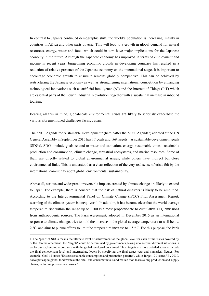In contrast to Japan's continued demographic shift, the world's population is increasing, mainly in countries in Africa and other parts of Asia. This will lead to a growth in global demand for natural resources, energy, water and food, which could in turn have major implications for the Japanese economy in the future. Although the Japanese economy has improved in terms of employment and income in recent years, burgeoning economic growth in developing countries has resulted in a reduction of relative presence of the Japanese economy on the international stage. It is important to encourage economic growth to ensure it remains globally competitive. This can be achieved by restructuring the Japanese economy as well as strengthening international competition by enhancing technological innovations such as artificial intelligence (AI) and the Internet of Things (IoT) which are essential parts of the Fourth Industrial Revolution, together with a substantial increase in inbound tourism.

Bearing all this in mind, global-scale environmental crises are likely to seriously exacerbate the various aforementioned challenges facing Japan.

The "2030 Agenda for Sustainable Development" (hereinafter the "2030 Agenda") adopted at the UN General Assembly in September 2015 has 17 goals and 169 targets<sup>1</sup> as sustainable development goals (SDGs). SDGs include goals related to water and sanitation, energy, sustainable cities, sustainable production and consumption, climate change, terrestrial ecosystems, and marine resources. Some of them are directly related to global environmental issues, while others have indirect but close environmental links. This is understood as a clear reflection of the very real sense of crisis felt by the international community about global environmental sustainability.

Above all, serious and widespread irreversible impacts created by climate change are likely to extend to Japan. For example, there is concern that the risk of natural disasters is likely to be amplified. According to the Intergovernmental Panel on Climate Change (IPCC) Fifth Assessment Report, warming of the climate system is unequivocal. In addition, it has become clear that the world average temperature rise within the range up to  $2100$  is almost proportionate to cumulative  $CO<sub>2</sub>$  emissions from anthropogenic sources. The Paris Agreement, adopted in December 2015 as an international response to climate change, tries to hold the increase in the global average temperature to well below 2  $\degree$ C, and aims to pursue efforts to limit the temperature increase to 1.5  $\degree$ C. For this purpose, the Paris

<sup>1</sup> The "goal" of SDGs means the ultimate level of achievement at the global level for each of the issues covered by SDGs. On the other hand, the "targets" could be determined by governments, taking into account different situations in each country, keeping accordance with the global level goal concerned. Thus, targets are more detailed so as to include the final achievement level and intermediate levels by specifying the final target year and numerical figures. For example, Goal 12 states "Ensure sustainable consumption and production patterns", while Target 12.3 states "By 2030, halve per capita global food waste at the retail and consumer levels and reduce food losses along production and supply chains, including post-harvest losses."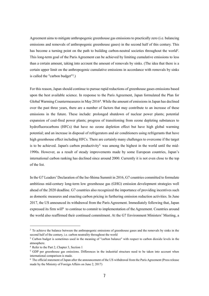Agreement aims to mitigate anthropogenic greenhouse gas emissions to practically zero (i.e. balancing emissions and removals of anthropogenic greenhouse gases) in the second half of this century. This has become a turning point on the path to building carbon-neutral societies throughout the world<sup>2</sup>. This long-term goal of the Paris Agreement can be achieved by limiting cumulative emissions to less than a certain amount, taking into account the amount of removals by sinks. (The idea that there is a certain upper limit on the anthropogenic cumulative emissions in accordance with removals by sinks is called the "carbon budget"<sup>3</sup>.)

For this reason, Japan should continue to pursue rapid reductions of greenhouse gases emissions based upon the best available science. In response to the Paris Agreement, Japan formulated the Plan for Global Warming Countermeasures in May 2016<sup>4</sup>. While the amount of emissions in Japan has declined over the past three years, there are a number of factors that may contribute to an increase of these emissions in the future. These include: prolonged shutdown of nuclear power plants; potential expansion of coal-fired power plants; progress of transitioning from ozone depleting substances to hydrofluorocarbons (HFCs) that have no ozone depletion effect but have high global warming potential; and an increase in disposal of refrigerators and air conditioners using refrigerants that have high greenhouse effect including HFCs. There are certainly many challenges to overcome if the target is to be achieved. Japan's carbon productivity<sup>5</sup> was among the highest in the world until the mid-1990s. However, as a result of steady improvements made by some European countries, Japan's international carbon ranking has declined since around 2000. Currently it is not even close to the top of the list.

In the G7 Leaders' Declaration of the Ise-Shima Summit in 2016, G7 countries committed to formulate ambitious mid-century long-term low greenhouse gas (GHG) emission development strategies well ahead of the 2020 deadline. G7 countries also recognized the importance of providing incentives such as domestic measures and enacting carbon pricing in furthering emission reduction activities. In June 2017, the US announced its withdrawal from the Paris Agreement. Immediately following that, Japan expressed its firm will<sup>6</sup> to continue to commit to implementation of the Agreement. Countries around the world also reaffirmed their continued commitment. At the G7 Environment Ministers' Meeting, a

<sup>&</sup>lt;sup>2</sup> To achieve the balance between the anthropogenic emissions of greenhouse gases and the removals by sinks in the second half of the century, i.e. carbon neutrality throughout the world

<sup>3</sup> Carbon budget is sometimes used in the meaning of "carbon balance" with respect to carbon dioxide levels in the atmosphere.

<sup>4</sup> Refer to the Part 2, Chapter 3, Section 1

<sup>&</sup>lt;sup>5</sup> GDP per greenhouse gas emissions. Differences in the industrial structure need to be taken into account when international comparison is made.

 $6$  The official statement of Japan after the announcement of the US withdrawal from the Paris Agreement (Press release made by the Ministry of Foreign Affairs on June 2, 2017)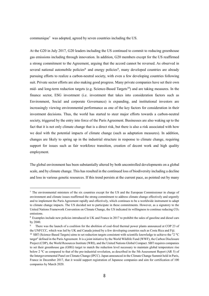communique<sup>7</sup> was adopted, agreed by seven countries including the US.

At the G20 in July 2017, G20 leaders including the US continued to commit to reducing greenhouse gas emissions including through innovation. In addition, G20 members except for the US reaffirmed a strong commitment to the Agreement, arguing that the accord cannot be reversed. As observed in several national automobile policies<sup>8</sup> and energy policies<sup>9</sup>, many developed countries are already pursuing efforts to realize a carbon-neutral society, with even a few developing countries following suit. Private sector efforts are also making good progress. Many private companies have set their own mid- and long-term reduction targets (e.g. Science-Based Targets<sup>10</sup>) and are taking measures. In the finance sector, ESG investment (i.e. investment that takes into consideration factors such as Environment, Social and corporate Governance) is expanding, and institutional investors are increasingly viewing environmental performance as one of the key factors for consideration in their investment decisions. Thus, the world has started to steer major efforts towards a carbon-neutral society, triggered by the entry into force of the Paris Agreement. Businesses are also waking up to the fact that it is not only climate change that is a direct risk, but there is also a risk associated with how we deal with the potential impacts of climate change (such as adaptation measures). In addition, changes are likely to spring up in the industrial structure in response to climate change, requiring support for issues such as fair workforce transition, creation of decent work and high quality employment.

The global environment has been substantially altered by both uncontrolled developments on a global scale, and by climate change. This has resulted in the continued loss of biodiversity including a decline and loss in various genetic resources. If this trend persists at the current pace, as pointed out by many

<sup>7</sup> The environmental ministers of the six countries except for the US and the European Commissioner in charge of environment and climate issues reaffirmed the strong commitment to address climate change effectively and urgently and to implement the Paris Agreement rapidly and effectively, which continues to be a worldwide instrument to adapt to climate change impacts. The US decided not to participate in these commitments. However, as a signatory to the United Nations Framework Convention on Climate Change, the US indicated its willingness to continue reducing CO<sub>2</sub> emissions.

<sup>8</sup> Examples include new policies introduced in UK and France in 2017 to prohibit the sales of gasoline and diesel cars by 2040.

<sup>9</sup> There was the launch of a coalition for the abolition of coal-fired thermal power plants announced at COP 23 of the UNFCCC, which was led by UK and Canada joined by a few developing countries such as Costa Rica and Fiji.

<sup>10</sup> SBT (Science-Based Targets) aims to set reduction targets consistent with scientific knowledge to achieve the "2 °C target" defined in the Paris Agreement. It is a joint initiative by the World Wildlife Fund (WWF), the Carbon Disclosure Project (CDP), the World Resources Institute (WRI), and the United Nations Global Compact. SBT requires companies to set their greenhouse gas (GHG) target to match the reduction level necessary to maintain global temperature rise below 2 °C as compared to that of the pre-industrial revolution, as described in the 5th Assessment Report (AR 5) of the Intergovernmental Panel on Climate Change (IPCC). Japan announced in the Climate Change Summit held in Paris, France in December 2017, that it would support registration of Japanese companies and aim for certification of 100 companies by March 2020.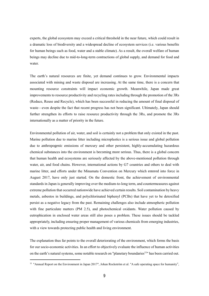experts, the global ecosystem may exceed a critical threshold in the near future, which could result in a dramatic loss of biodiversity and a widespread decline of ecosystem services (i.e. various benefits for human beings such as food, water and a stable climate). As a result, the overall welfare of human beings may decline due to mid-to-long-term contractions of global supply, and demand for food and water.

The earth's natural resources are finite, yet demand continues to grow. Environmental impacts associated with mining and waste disposal are increasing. At the same time, there is a concern that mounting resource constraints will impact economic growth. Meanwhile, Japan made great improvements to resource productivity and recycling rates including through the promotion of the 3Rs (Reduce, Reuse and Recycle), which has been successful in reducing the amount of final disposal of waste—even despite the fact that recent progress has not been significant. Ultimately, Japan should further strengthen its efforts to raise resource productivity through the 3Rs, and promote the 3Rs internationally as a matter of priority in the future.

Environmental pollution of air, water, and soil is certainly not a problem that only existed in the past. Marine pollution due to marine litter including microplastics is a serious issue and global pollution due to anthropogenic emissions of mercury and other persistent, highly-accumulating hazardous chemical substances into the environment is becoming more serious. Thus, there is a global concern that human health and ecosystems are seriously affected by the above-mentioned pollution through water, air, and food chains. However, international actions by G7 countries and others to deal with marine litter, and efforts under the Minamata Convention on Mercury which entered into force in August 2017, have only just started. On the domestic front, the achievement of environmental standards in Japan is generally improving over the medium-to-long term, and countermeasures against extreme pollution that occurred nationwide have achieved certain results. Soil contamination by heavy metals, asbestos in buildings, and polychlorinated biphenyl (PCBs) that have yet to be detoxified persist as a negative legacy from the past. Remaining challenges also include atmospheric pollution with fine particulate matters (PM 2.5), and photochemical oxidants. Water pollution caused by eutrophication in enclosed water areas still also poses a problem. These issues should be tackled appropriately, including ensuring proper management of various chemicals from emerging industries, with a view towards protecting public health and living environment.

The explanation thus far points to the overall deteriorating of the environment, which forms the basis for our socio-economic activities. In an effort to objectively evaluate the influence of human activities on the earth's natural systems, some notable research on "planetary boundaries<sup>11</sup>" has been carried out.

<sup>&</sup>lt;sup>11</sup> "Annual Report on the Environment in Japan 2017", Johan Rockström et al. "A safe operating space for humanity",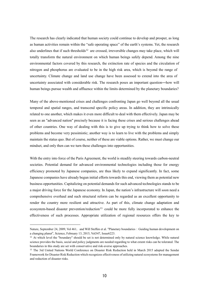The research has clearly indicated that human society could continue to develop and prosper, as long as human activities remain within the "safe operating space" of the earth's systems. Yet, the research also underlines that if such thresholds<sup>12</sup> are crossed, irreversible changes may take place, which will totally transform the natural environment on which human beings safely depend. Among the nine environmental factors covered by this research, the extinction rate of species and the circulation of nitrogen and phosphorus are evaluated to be in the high risk area, which is beyond the range of uncertainty. Climate change and land use change have been assessed to extend into the area of uncertainty associated with considerable risk. The research poses an important question―how will human beings pursue wealth and affluence within the limits determined by the planetary boundaries?

Many of the above-mentioned crises and challenges confronting Japan go well beyond all the usual temporal and spatial ranges, and transcend specific policy areas. In addition, they are intrinsically related to one another, which makes it even more difficult to deal with them effectively. Japan may be seen as an "advanced nation" precisely because it is facing these crises and serious challenges ahead of other countries. One way of dealing with this is to give up trying to think how to solve these problems and become very pessimistic; another way is to learn to live with the problems and simply maintain the status quo. But of course, neither of these are viable options. Rather, we must change our mindset, and only then can we turn these challenges into opportunities.

With the entry into force of the Paris Agreement, the world is steadily steering towards carbon-neutral societies. Potential demand for advanced environmental technologies including those for energy efficiency promoted by Japanese companies, are thus likely to expand significantly. In fact, some Japanese companies have already begun initial efforts towards this end, viewing them as potential new business opportunities. Capitalizing on potential demands for such advanced technologies stands to be a major driving force for the Japanese economy. In Japan, the nation's infrastructure will soon need a comprehensive overhaul and such structural reform can be regarded as an excellent opportunity to render the country more resilient and attractive. As part of this, climate change adaptation and ecosystem-based disaster prevention/reduction<sup>13</sup> could be more fully incorporated to enhance the effectiveness of such processes. Appropriate utilization of regional resources offers the key to

 $\overline{a}$ 

Nature, September 24, 2009, Vol 461, and Will Steffen et al. "Planetary boundaries: Guiding human development on a changing planet", Science, February 13, 2015, Vol347, Issue6223.

 $12$  At which level the "boundary" should be set is not determined only by natural science knowledge. While natural science provides the basis, social and policy judgments are needed regarding to what extent risks can be tolerated. The boundaries in this study are set with conservative and risk-averse approaches.

<sup>&</sup>lt;sup>13</sup> The 3rd United Nations World Conference on Disaster Risk Reduction held in March 2015 adopted the Sendai Framework for Disaster Risk Reduction which recognizes effectiveness of utilizing natural ecosystems for management and reduction of disaster risks.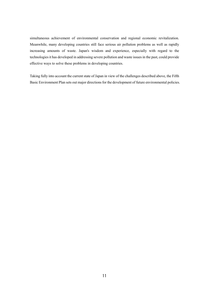simultaneous achievement of environmental conservation and regional economic revitalization. Meanwhile, many developing countries still face serious air pollution problems as well as rapidly increasing amounts of waste. Japan's wisdom and experience, especially with regard to the technologies it has developed in addressing severe pollution and waste issues in the past, could provide effective ways to solve these problems in developing countries.

Taking fully into account the current state of Japan in view of the challenges described above, the Fifth Basic Environment Plan sets out major directions for the development of future environmental policies.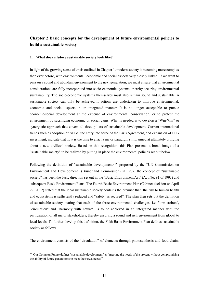# **Chapter 2 Basic concepts for the development of future environmental policies to build a sustainable society**

## **1. What does a future sustainable society look like?**

In light of the growing sense of crisis outlined in Chapter 1, modern society is becoming more complex than ever before, with environmental, economic and social aspects very closely linked. If we want to pass on a sound and abundant environment to the next generation, we must ensure that environmental considerations are fully incorporated into socio-economic systems, thereby securing environmental sustainability. The socio-economic systems themselves must also remain sound and sustainable. A sustainable society can only be achieved if actions are undertaken to improve environmental, economic and social aspects in an integrated manner. It is no longer acceptable to pursue economic/social development at the expense of environmental conservation, or to protect the environment by sacrificing economic or social gains. What is needed is to develop a "Win-Win" or synergistic approach that covers all three pillars of sustainable development. Current international trends such as adoption of SDGs, the entry into force of the Paris Agreement, and expansion of ESG investment, indicate that now is the time to enact a major paradigm shift, aimed at ultimately bringing about a new civilized society. Based on this recognition, this Plan presents a broad image of a "sustainable society" to be realized by putting in place the environmental policies set out below.

Following the definition of "sustainable development<sup>14"</sup> proposed by the "UN Commission on Environment and Development" (Brundtland Commission) in 1987, the concept of "sustainable society" has been the basic direction set out in the "Basic Environment Act" (Act No. 91 of 1993) and subsequent Basic Environment Plans. The Fourth Basic Environment Plan (Cabinet decision on April 27, 2012) stated that the ideal sustainable society contains the premise that "the risk to human health and ecosystems is sufficiently reduced and "safety" is secured". The plan then sets out the definition of sustainable society, stating that each of the three environmental challenges, i.e. "low carbon", "circulation" and "harmony with nature", is to be achieved in an integrated manner with the participation of all major stakeholders, thereby ensuring a sound and rich environment from global to local levels. To further develop this definition, the Fifth Basic Environment Plan defines sustainable society as follows.

The environment consists of the "circulation" of elements through photosynthesis and food chains

 $\overline{a}$ 

<sup>&</sup>lt;sup>14</sup> Our Common Future defines "sustainable development" as "meeting the needs of the present without compromising the ability of future generations to meet their own needs."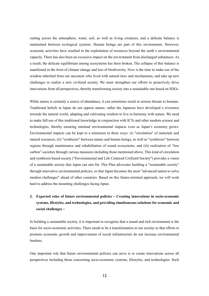cutting across the atmosphere, water, soil, as well as living creatures, and a delicate balance is maintained between ecological systems. Human beings are part of this environment. However, economic activities have resulted in the exploitation of resources beyond the earth's environmental capacity. There has also been an excessive impact on the environment from discharged substances. As a result, the delicate equilibrium among ecosystems has been broken. The collapse of this balance is manifested in the form of climate change and loss of biodiversity. Now is the time to make use of the wisdom inherited from our ancestors who lived with natural laws and mechanisms, and take up new challenges to realize a new civilized society. We must strengthen our efforts to proactively drive innovations from all perspectives, thereby transforming society into a sustainable one based on SDGs.

While nature is certainly a source of abundance, it can sometimes result in serious threats to humans. Traditional beliefs in Japan do not oppose nature; rather the Japanese have developed a reverence towards the natural world, adapting and cultivating wisdom to live in harmony with nature. We need to make full use of this traditional knowledge in conjunction with ICTs and other modern science and technologies, thereby ensuring minimal environmental impacts even as Japan's economy grows. Environmental impacts can be kept to a minimum in three ways: (i) "circulation" of materials and natural resources, (ii) "symbiosis" between nature and human beings, as well as "symbiosis" between regions through maintenance and rehabilitation of sound ecosystems, and (iii) realization of "low carbon" societies through various measures including those mentioned above. This kind of circulation and symbiosis based society ("Environmental and Life Centered Civilized Society") provides a vision of a sustainable society that Japan can aim for. This Plan advocates building a "sustainable society" through innovative environmental policies, so that Japan becomes the most "advanced nation to solve modern challenges" ahead of other countries. Based on this future-oriented approach, we will work hard to address the mounting challenges facing Japan.

# **2. Expected roles of future environmental policies ~ Creating innovations in socio-economic systems, lifestyles, and technologies, and providing simultaneous solutions for economic and social challenges ~**

In building a sustainable society, it is important to recognize that a sound and rich environment is the basis for socio-economic activities. There needs to be a transformation in our society so that efforts to promote economic growth and improvement of social infrastructure do not increase environmental burdens.

One important role that future environmental policies can serve is to create innovations across all perspectives including those concerning socio-economic systems, lifestyles, and technologies. Such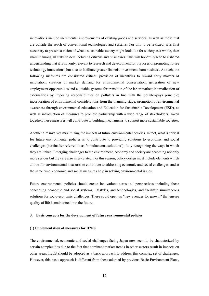innovations include incremental improvements of existing goods and services, as well as those that are outside the reach of conventional technologies and systems. For this to be realized, it is first necessary to present a vision of what a sustainable society might look like for society as a whole, then share it among all stakeholders including citizens and businesses. This will hopefully lead to a shared understanding that it is not only relevant to research and development for purposes of promoting future technology innovations, but also to facilitate greater financial investment from business. As such, the following measures are considered critical: provision of incentives to reward early movers of innovation; creation of market demand for environmental conservation; generation of new employment opportunities and equitable systems for transition of the labor market; internalization of externalities by imposing responsibilities on polluters in line with the polluter-pays principle; incorporation of environmental considerations from the planning stage; promotion of environmental awareness through environmental education and Education for Sustainable Development (ESD), as well as introduction of measures to promote partnership with a wide range of stakeholders. Taken together, these measures will contribute to building mechanisms to support more sustainable societies.

Another aim involves maximizing the impacts of future environmental policies. In fact, what is critical for future environmental policies is to contribute to providing solutions to economic and social challenges (hereinafter referred to as "simultaneous solutions"), fully recognizing the ways in which they are linked. Emerging challenges to the environment, economy and society are becoming not only more serious but they are also inter-related. For this reason, policy design must include elements which allows for environmental measures to contribute to addressing economic and social challenges, and at the same time, economic and social measures help in solving environmental issues.

Future environmental policies should create innovations across all perspectives including those concerning economic and social systems, lifestyles, and technologies, and facilitate simultaneous solutions for socio-economic challenges. These could open up "new avenues for growth" that ensure quality of life is maintained into the future.

# **3. Basic concepts for the development of future environmental policies**

#### **(1) Implementation of measures for II2ES**

The environmental, economic and social challenges facing Japan now seem to be characterized by certain complexities due to the fact that dominant market trends in other sectors result in impacts on other areas. II2ES should be adopted as a basic approach to address this complex set of challenges. However, this basic approach is different from those adopted by previous Basic Environment Plans,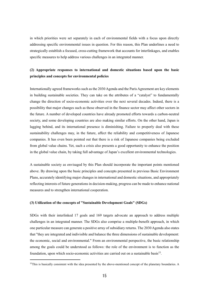in which priorities were set separately in each of environmental fields with a focus upon directly addressing specific environmental issues in question. For this reason, this Plan underlines a need to strategically establish a focused, cross-cutting framework that accounts for interlinkages, and enables specific measures to help address various challenges in an integrated manner.

# **(2) Appropriate responses to international and domestic situations based upon the basic principles and concepts for environmental policies**

Internationally agreed frameworks such as the 2030 Agenda and the Paris Agreement are key elements in building sustainable societies. They can take on the attributes of a "catalyst" to fundamentally change the direction of socio-economic activities over the next several decades. Indeed, there is a possibility that major changes such as those observed in the finance sector may affect other sectors in the future. A number of developed countries have already promoted efforts towards a carbon-neutral society, and some developing countries are also making similar efforts. On the other hand, Japan is lagging behind, and its international presence is diminishing. Failure to properly deal with these sustainability challenges may, in the future, affect the reliability and competitiveness of Japanese companies. It has even been pointed out that there is a risk of Japanese companies being excluded from global value chains. Yet, such a crisis also presents a good opportunity to enhance the position in the global value chain, by taking full advantage of Japan's excellent environmental technologies.

A sustainable society as envisaged by this Plan should incorporate the important points mentioned above. By drawing upon the basic principles and concepts presented in previous Basic Environment Plans, accurately identifying major changes in international and domestic situations, and appropriately reflecting interests of future generations in decision-making, progress can be made to enhance national measures and to strengthen international cooperation.

# **(3) Utilization of the concepts of "Sustainable Development Goals" (SDGs)**

-

SDGs with their interlinked 17 goals and 169 targets advocate an approach to address multiple challenges in an integrated manner. The SDGs also comprise a multiple-benefit approach, in which one particular measure can generate a positive array of subsidiary returns. The 2030 Agenda also states that "they are integrated and indivisible and balance the three dimensions of sustainable development: the economic, social and environmental." From an environmental perspective, the basic relationship among the goals could be understood as follows: the role of the environment is to function as the foundation, upon which socio-economic activities are carried out on a sustainable basis<sup>15</sup>.

 $15$ This is basically consistent with the idea presented by the above-mentioned concept of the planetary boundaries. A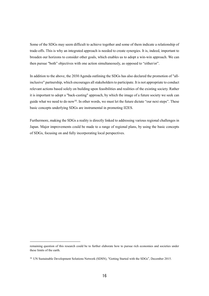Some of the SDGs may seem difficult to achieve together and some of them indicate a relationship of trade-offs. This is why an integrated approach is needed to create synergies. It is, indeed, important to broaden our horizons to consider other goals, which enables us to adopt a win-win approach. We can then pursue "both" objectives with one action simultaneously, as opposed to "either/or".

In addition to the above, the 2030 Agenda outlining the SDGs has also declared the promotion of "allinclusive" partnership, which encourages all stakeholders to participate. It is not appropriate to conduct relevant actions based solely on building upon feasibilities and realities of the existing society. Rather it is important to adopt a "back-casting" approach, by which the image of a future society we seek can guide what we need to do now<sup>16</sup>. In other words, we must let the future dictate "our next steps". These basic concepts underlying SDGs are instrumental in promoting II2ES.

Furthermore, making the SDGs a reality is directly linked to addressing various regional challenges in Japan. Major improvements could be made to a range of regional plans, by using the basic concepts of SDGs, focusing on and fully incorporating local perspectives.

 $\overline{a}$ 

remaining question of this research could be to further elaborate how to pursue rich economies and societies under these limits of the earth.

<sup>&</sup>lt;sup>16</sup> UN Sustainable Development Solutions Network (SDSN), "Getting Started with the SDGs", December 2015.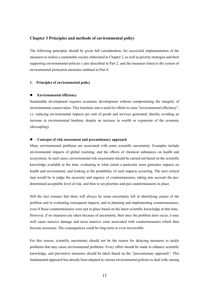# **Chapter 3 Principles and methods of environmental policy**

The following principles should be given full consideration, for successful implementation of the measures to realize a sustainable society elaborated in Chapter 2, as well as priority strategies and their supporting environmental policies s also described in Part 2, and the measures listed in the system of environmental protection measures outlined in Part 4.

# **1. Principles of environmental policy**

#### **Environmental efficiency**

Sustainable development requires economic development without compromising the integrity of environmental conservation. This translates into a need for efforts to raise "environmental efficiency", i.e. reducing environmental impacts per unit of goods and services generated, thereby avoiding an increase in environmental burdens, despite an increase in wealth or expansion of the economy (decoupling).

#### **Concepts of risk assessment and precautionary approach**

Many environmental problems are associated with some scientific uncertainty. Examples include environmental impacts of global warming, and the effects of chemical substances on health and ecosystems. In such cases, environmental risk assessment should be carried out based on the scientific knowledge available at the time, evaluating to what extent a particular issue generates impacts on health and environment, and looking at the probability of such impacts occurring. The next critical step would be to judge the necessity and urgency of countermeasures, taking into account the predetermined acceptable level of risk, and then to set priorities and put countermeasures in place.

Still the fact remains that there will always be some uncertainty left in identifying causes of the problem and in evaluating consequent impacts, and in planning and implementing countermeasures, even if those countermeasures were put in place based on the latest scientific knowledge at that time. However, if no measures are taken because of uncertainty, then once the problem does occur, it may well cause massive damage and incur massive costs associated with countermeasures which then become necessary. The consequences could be long-term or even irreversible.

For this reason, scientific uncertainty should not be the reason for delaying measures to tackle problems that may cause environmental problems. Every effort should be made to enhance scientific knowledge, and preventive measures should be taken based on the "precautionary approach". This fundamental approach has already been adopted in various environmental policies to deal with, among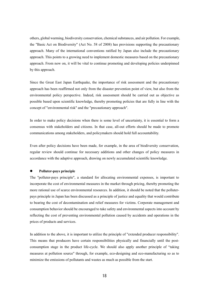others, global warming, biodiversity conservation, chemical substances, and air pollution. For example, the "Basic Act on Biodiversity" (Act No. 58 of 2008) has provisions supporting the precautionary approach. Many of the international conventions ratified by Japan also include the precautionary approach. This points to a growing need to implement domestic measures based on the precautionary approach. From now on, it will be vital to continue promoting and developing policies underpinned by this approach.

Since the Great East Japan Earthquake, the importance of risk assessment and the precautionary approach has been reaffirmed not only from the disaster prevention point of view, but also from the environmental policy perspective. Indeed, risk assessment should be carried out as objective as possible based upon scientific knowledge, thereby promoting policies that are fully in line with the concept of "environmental risk" and the "precautionary approach".

In order to make policy decisions when there is some level of uncertainty, it is essential to form a consensus with stakeholders and citizens. In that case, all-out efforts should be made to promote communications among stakeholders, and policymakers should hold full accountability.

Even after policy decisions have been made, for example, in the area of biodiversity conservation, regular review should continue for necessary additions and other changes of policy measures in accordance with the adaptive approach, drawing on newly accumulated scientific knowledge.

## **Polluter-pays principle**

The "polluter-pays principle", a standard for allocating environmental expenses, is important to incorporate the cost of environmental measures in the market through pricing, thereby promoting the more rational use of scarce environmental resources. In addition, it should be noted that the polluterpays principle in Japan has been discussed as a principle of justice and equality that would contribute to bearing the cost of decontamination and relief measures for victims. Corporate management and consumption behavior should be encouraged to take safety and environmental aspects into account by reflecting the cost of preventing environmental pollution caused by accidents and operations in the prices of products and services.

In addition to the above, it is important to utilize the principle of "extended producer responsibility". This means that producers have certain responsibilities physically and financially until the postconsumption stage in the product life-cycle. We should also apply another principle of "taking measures at pollution source" through, for example, eco-designing and eco-manufacturing so as to minimize the emissions of pollutants and wastes as much as possible from the start.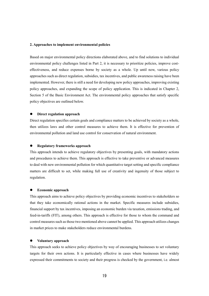# **2. Approaches to implement environmental policies**

Based on major environmental policy directions elaborated above, and to find solutions to individual environmental policy challenges listed in Part 2, it is necessary to prioritize policies, improve costeffectiveness, and reduce expenses borne by society as a whole. Up until now, various policy approaches such as direct regulation, subsidies, tax incentives, and public awareness raising have been implemented. However, there is still a need for developing new policy approaches, improving existing policy approaches, and expanding the scope of policy application. This is indicated in Chapter 2, Section 5 of the Basic Environment Act. The environmental policy approaches that satisfy specific policy objectives are outlined below.

## **Direct regulation approach**

Direct regulation specifies certain goals and compliance matters to be achieved by society as a whole, then utilizes laws and other control measures to achieve them. It is effective for prevention of environmental pollution and land use control for conservation of natural environment.

## **Regulatory frameworks approach**

This approach intends to achieve regulatory objectives by presenting goals, with mandatory actions and procedures to achieve them. This approach is effective to take preventive or advanced measures to deal with new environmental pollution for which quantitative target setting and specific compliance matters are difficult to set, while making full use of creativity and ingenuity of those subject to regulation.

## **Economic approach**

This approach aims to achieve policy objectives by providing economic incentives to stakeholders so that they take economically rational actions in the market. Specific measures include subsidies, financial support by tax incentives, imposing an economic burden via taxation, emissions trading, and feed-in-tariffs (FIT), among others. This approach is effective for those to whom the command and control measures such as those two mentioned above cannot be applied. This approach utilizes changes in market prices to make stakeholders reduce environmental burdens.

# **Voluntary approach**

This approach seeks to achieve policy objectives by way of encouraging businesses to set voluntary targets for their own actions. It is particularly effective in cases where businesses have widely expressed their commitments to society and their progress is checked by the government, i.e. almost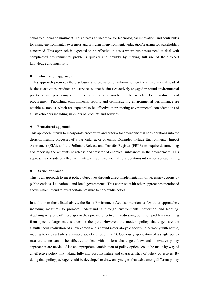equal to a social commitment. This creates an incentive for technological innovation, and contributes to raising environmental awareness and bringing in environmental education/learning for stakeholders concerned. This approach is expected to be effective in cases where businesses need to deal with complicated environmental problems quickly and flexibly by making full use of their expert knowledge and ingenuity.

## **Information approach**

This approach promotes the disclosure and provision of information on the environmental load of business activities, products and services so that businesses actively engaged in sound environmental practices and producing environmentally friendly goods can be selected for investment and procurement. Publishing environmental reports and demonstrating environmental performance are notable examples, which are expected to be effective in promoting environmental considerations of all stakeholders including suppliers of products and services.

#### **Procedural approach**

This approach intends to incorporate procedures and criteria for environmental considerations into the decision-making processes of a particular actor or entity. Examples include Environmental Impact Assessment (EIA), and the Pollutant Release and Transfer Register (PRTR) to require documenting and reporting the amounts of release and transfer of chemical substances in the environment. This approach is considered effective in integrating environmental considerations into actions of each entity.

## **Action approach**

This is an approach to meet policy objectives through direct implementation of necessary actions by public entities, i.e. national and local governments. This contrasts with other approaches mentioned above which intend to exert certain pressure to non-public actors.

In addition to those listed above, the Basic Environment Act also mentions a few other approaches, including measures to promote understanding through environmental education and learning. Applying only one of these approaches proved effective in addressing pollution problems resulting from specific large-scale sources in the past. However, the modern policy challenges are the simultaneous realization of a low carbon and a sound material-cycle society in harmony with nature, moving towards a truly sustainable society, through II2ES. Obviously application of a single policy measure alone cannot be effective to deal with modern challenges. New and innovative policy approaches are needed. Also an appropriate combination of policy options could be made by way of an effective policy mix, taking fully into account nature and characteristics of policy objectives. By doing that, policy packages could be developed to draw on synergies that exist among different policy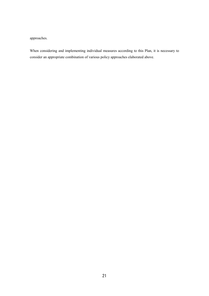approaches.

When considering and implementing individual measures according to this Plan, it is necessary to consider an appropriate combination of various policy approaches elaborated above.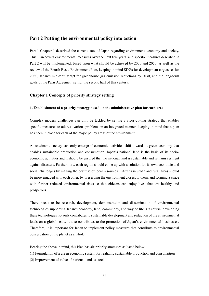# **Part 2 Putting the environmental policy into action**

Part 1 Chapter 1 described the current state of Japan regarding environment, economy and society. This Plan covers environmental measures over the next five years, and specific measures described in Part 2 will be implemented, based upon what should be achieved by 2030 and 2050, as well as the review of the Fourth Basic Environment Plan, keeping in mind SDGs for development targets set for 2030, Japan's mid-term target for greenhouse gas emission reductions by 2030, and the long-term goals of the Paris Agreement set for the second half of this century.

# **Chapter 1 Concepts of priority strategy setting**

# **1. Establishment of a priority strategy based on the administrative plan for each area**

Complex modern challenges can only be tackled by setting a cross-cutting strategy that enables specific measures to address various problems in an integrated manner, keeping in mind that a plan has been in place for each of the major policy areas of the environment.

A sustainable society can only emerge if economic activities shift towards a green economy that enables sustainable production and consumption. Japan's national land is the basis of its socioeconomic activities and it should be ensured that the national land is sustainable and remains resilient against disasters. Furthermore, each region should come up with a solution for its own economic and social challenges by making the best use of local resources. Citizens in urban and rural areas should be more engaged with each other, by preserving the environment closest to them, and forming a space with further reduced environmental risks so that citizens can enjoy lives that are healthy and prosperous.

There needs to be research, development, demonstration and dissemination of environmental technologies supporting Japan's economy, land, community, and way of life. Of course, developing these technologies not only contributes to sustainable development and reduction of the environmental loads on a global scale, it also contributes to the promotion of Japan's environmental businesses. Therefore, it is important for Japan to implement policy measures that contribute to environmental conservation of the planet as a whole.

Bearing the above in mind, this Plan has six priority strategies as listed below:

(1) Formulation of a green economic system for realizing sustainable production and consumption

(2) Improvement of value of national land as stock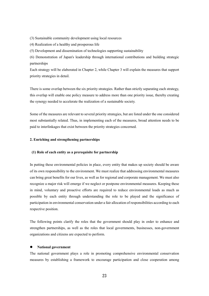(3) Sustainable community development using local resources

(4) Realization of a healthy and prosperous life

(5) Development and dissemination of technologies supporting sustainability

(6) Demonstration of Japan's leadership through international contributions and building strategic partnerships

Each strategy will be elaborated in Chapter 2, while Chapter 3 will explain the measures that support priority strategies in detail.

There is some overlap between the six priority strategies. Rather than strictly separating each strategy, this overlap will enable one policy measure to address more than one priority issue, thereby creating the synergy needed to accelerate the realization of a sustainable society.

Some of the measures are relevant to several priority strategies, but are listed under the one considered most substantially related. Thus, in implementing each of the measures, broad attention needs to be paid to interlinkages that exist between the priority strategies concerned.

# **2. Enriching and strengthening partnerships**

# **(1) Role of each entity as a prerequisite for partnership**

In putting these environmental policies in place, every entity that makes up society should be aware of its own responsibility to the environment. We must realize that addressing environmental measures can bring great benefits for our lives, as well as for regional and corporate management. We must also recognize a major risk will emerge if we neglect or postpone environmental measures. Keeping these in mind, voluntary and proactive efforts are required to reduce environmental loads as much as possible by each entity through understanding the role to be played and the significance of participation in environmental conservation under a fair allocation of responsibilities according to each respective position.

The following points clarify the roles that the government should play in order to enhance and strengthen partnerships, as well as the roles that local governments, businesses, non-government organizations and citizens are expected to perform.

## **National government**

The national government plays a role in promoting comprehensive environmental conservation measures by establishing a framework to encourage participation and close cooperation among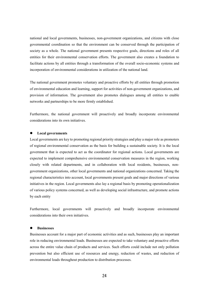national and local governments, businesses, non-government organizations, and citizens with close governmental coordination so that the environment can be conserved through the participation of society as a whole. The national government presents respective goals, directions and roles of all entities for their environmental conservation efforts. The government also creates a foundation to facilitate actions by all entities through a transformation of the overall socio-economic systems and incorporation of environmental considerations in utilization of the national land.

The national government promotes voluntary and proactive efforts by all entities through promotion of environmental education and learning, support for activities of non-government organizations, and provision of information. The government also promotes dialogues among all entities to enable networks and partnerships to be more firmly established.

Furthermore, the national government will proactively and broadly incorporate environmental considerations into its own initiatives.

# **Local governments**

Local governments are key to promoting regional priority strategies and play a major role as promoters of regional environmental conservation as the basis for building a sustainable society. It is the local government that is expected to act as the coordinator for regional actions. Local governments are expected to implement comprehensive environmental conservation measures in the region, working closely with related departments, and in collaboration with local residents, businesses, nongovernment organizations, other local governments and national organizations concerned. Taking the regional characteristics into account, local governments present goals and major directions of various initiatives in the region. Local governments also lay a regional basis by promoting operationalization of various policy systems concerned, as well as developing social infrastructure, and promote actions by each entity

Furthermore, local governments will proactively and broadly incorporate environmental considerations into their own initiatives.

# **Businesses**

Businesses account for a major part of economic activities and as such, businesses play an important role in reducing environmental loads. Businesses are expected to take voluntary and proactive efforts across the entire value chain of products and services. Such efforts could include not only pollution prevention but also efficient use of resources and energy, reduction of wastes, and reduction of environmental loads throughout production to distribution processes.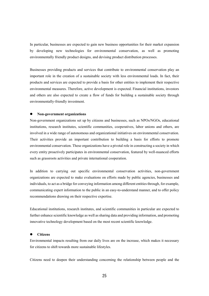In particular, businesses are expected to gain new business opportunities for their market expansion by developing new technologies for environmental conservation, as well as promoting environmentally friendly product designs, and devising product distribution processes.

Businesses providing products and services that contribute to environmental conservation play an important role in the creation of a sustainable society with less environmental loads. In fact, their products and services are expected to provide a basis for other entities to implement their respective environmental measures. Therefore, active development is expected. Financial institutions, investors and others are also expected to create a flow of funds for building a sustainable society through environmentally-friendly investment.

#### **Non-government organizations**

Non-government organizations set up by citizens and businesses, such as NPOs/NGOs, educational institutions, research institutes, scientific communities, cooperatives, labor unions and others, are involved in a wide range of autonomous and organizational initiatives on environmental conservation. Their activities provide an important contribution to building a basis for efforts to promote environmental conservation. These organizations have a pivotal role in constructing a society in which every entity proactively participates in environmental conservation, featured by well-nuanced efforts such as grassroots activities and private international cooperation.

In addition to carrying out specific environmental conservation activities, non-government organizations are expected to make evaluations on efforts made by public agencies, businesses and individuals, to act as a bridge for conveying information among different entities through, for example, communicating expert information to the public in an easy-to-understand manner, and to offer policy recommendations drawing on their respective expertise.

Educational institutions, research institutes, and scientific communities in particular are expected to further enhance scientific knowledge as well as sharing data and providing information, and promoting innovative technology development based on the most recent scientific knowledge.

# **Citizens**

Environmental impacts resulting from our daily lives are on the increase, which makes it necessary for citizens to shift towards more sustainable lifestyles.

Citizens need to deepen their understanding concerning the relationship between people and the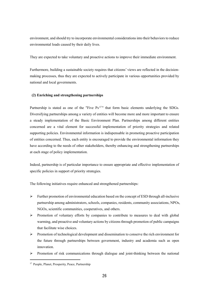environment, and should try to incorporate environmental considerations into their behaviors to reduce environmental loads caused by their daily lives.

They are expected to take voluntary and proactive actions to improve their immediate environment.

Furthermore, building a sustainable society requires that citizens' views are reflected in the decisionmaking processes, thus they are expected to actively participate in various opportunities provided by national and local governments.

# **(2) Enriching and strengthening partnerships**

Partnership is stated as one of the "Five Ps<sup>17</sup>" that form basic elements underlying the SDGs. Diversifying partnerships among a variety of entities will become more and more important to ensure a steady implementation of the Basic Environment Plan. Partnerships among different entities concerned are a vital element for successful implementation of priority strategies and related supporting policies. Environmental information is indispensable in promoting proactive participation of entities concerned. Thus, each entity is encouraged to provide the environmental information they have according to the needs of other stakeholders, thereby enhancing and strengthening partnerships at each stage of policy implementation.

Indeed, partnership is of particular importance to ensure appropriate and effective implementation of specific policies in support of priority strategies.

The following initiatives require enhanced and strengthened partnerships:

- $\triangleright$  Further promotion of environmental education based on the concept of ESD through all-inclusive partnership among administrators, schools, companies, residents, community associations, NPOs, NGOs, scientific communities, cooperatives, and others.
- $\triangleright$  Promotion of voluntary efforts by companies to contribute to measures to deal with global warming, and proactive and voluntary actions by citizens through promotion of public campaigns that facilitate wise choices.
- $\triangleright$  Promotion of technological development and dissemination to conserve the rich environment for the future through partnerships between government, industry and academia such as open innovation.
- $\triangleright$  Promotion of risk communications through dialogue and joint-thinking between the national

<sup>&</sup>lt;sup>17</sup> People, Planet, Prosperity, Peace, Partnership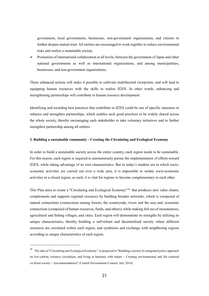government, local governments, businesses, non-government organizations, and citizens to further deepen mutual trust. All entities are encouraged to work together to reduce environmental risks and realize a sustainable society.

 $\triangleright$  Promotion of international collaboration at all levels, between the government of Japan and other national governments as well as international organizations, and among municipalities, businesses, and non-government organizations.

These enhanced actions will make it possible to cultivate multifaceted viewpoints, and will lead to equipping human resources with the skills to realize II2ES. In other words, enhancing and strengthening partnerships will contribute to human resource development.

Identifying and awarding best practices that contribute to II2ES could be one of specific measures to enhance and strengthen partnerships, which enables such good practices to be widely shared across the whole society, thereby encouraging each stakeholder to take voluntary initiatives and to further strengthen partnership among all entities.

# **3. Building a sustainable community - Creating the Circulating and Ecological Economy**

In order to build a sustainable society across the entire country, each region needs to be sustainable. For this reason, each region is required to autonomously pursue the implementation of efforts toward II2ES, while taking advantage of its own characteristics. But in today's modern era in which socioeconomic activities are carried out over a wide area, it is impossible to isolate socio-economic activities in a closed region; as such, it is vital for regions to become complementary to each other.

This Plan aims to create a "Circulating and Ecological Economy"<sup>18</sup> that produces new value chains, complements and supports regional resources by building broader networks, which is composed of natural connections (connections among forests, the countryside, rivers and the sea) and, economic connections (composed of human resources, funds, and others), while making full use of mountainous, agricultural and fishing villages, and cities. Each region will demonstrate its strengths by utilizing its unique characteristics, thereby building a self-reliant and decentralized society where different resources are circulated within each region, and symbiosis and exchange with neighboring regions according to unique characteristics of each region.

<sup>&</sup>lt;sup>18</sup> The idea of "Circulating and Ecological Economy " is proposed in "Building a society by integrated policy approach on low-carbon, resource circulation, and living in harmony with nature  $\sim$  Creating environmental and life centered civilized society ~ (recommendation)" (Central Environment Council, July 2014).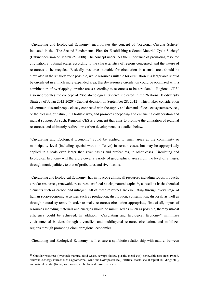"Circulating and Ecological Economy" incorporates the concept of "Regional Circular Sphere" indicated in the "The Second Fundamental Plan for Establishing a Sound Material-Cycle Society" (Cabinet decision on March 25, 2008). The concept underlines the importance of promoting resource circulation at optimal scales according to the characteristics of regions concerned, and the nature of resources to be recycled. Basically, resources suitable for circulation in a small area should be circulated in the smallest zone possible, while resources suitable for circulation in a larger area should be circulated in a much more expanded area, thereby resource circulation could be optimized with a combination of overlapping circular areas according to resources to be circulated. "Regional CES" also incorporates the concept of "Social-ecological Sphere" indicated in the "National Biodiversity Strategy of Japan 2012-2020" (Cabinet decision on September 28, 2012), which takes consideration of communities and people closely connected with the supply and demand of local ecosystem services, or the blessing of nature, in a holistic way, and promotes deepening and enhancing collaboration and mutual support. As such, Regional CES is a concept that aims to promote the utilization of regional resources, and ultimately realize low carbon development, as detailed below.

"Circulating and Ecological Economy" could be applied to small areas at the community or municipality level (including special wards in Tokyo) in certain cases, but may be appropriately applied in a scale even larger than river basins and prefectures, in other cases. Circulating and Ecological Economy will therefore cover a variety of geographical areas from the level of villages, through municipalities, to that of prefectures and river basins.

"Circulating and Ecological Economy" has in its scope almost all resources including foods, products, circular resources, renewable resources, artificial stocks, natural capital<sup>19</sup>, as well as basic chemical elements such as carbon and nitrogen. All of these resources are circulating through every stage of human socio-economic activities such as production, distribution, consumption, disposal, as well as through natural systems. In order to make resources circulation appropriate, first of all, inputs of resources including materials and energies should be minimized as much as possible, thereby utmost efficiency could be achieved. In addition, "Circulating and Ecological Economy" minimizes environmental burdens through diversified and multilayered resource circulation, and mobilizes regions through promoting circular regional economies.

"Circulating and Ecological Economy" will ensure a symbiotic relationship with nature, between

<sup>&</sup>lt;sup>19</sup> Circular resources (livestock manure, food waste, sewage sludge, plastic, metal etc.), renewable resources (wood, renewable energy sources such as geothermal, wind and hydropower etc.), artificial stock (social capital, buildings etc.), and natural capital (forest, soil, water, air, biological resources, etc.)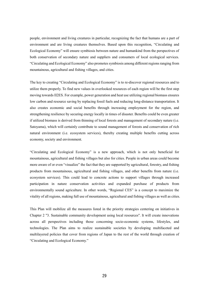people, environment and living creatures in particular, recognizing the fact that humans are a part of environment and are living creatures themselves. Based upon this recognition, "Circulating and Ecological Economy" will ensure symbiosis between nature and humankind from the perspectives of both conservation of secondary nature and suppliers and consumers of local ecological services. "Circulating and Ecological Economy" also promotes symbiosis among different regions ranging from mountainous, agricultural and fishing villages, and cities.

The key to creating "Circulating and Ecological Economy" is to re-discover regional resources and to utilize them properly. To find new values in overlooked resources of each region will be the first step moving towards II2ES. For example, power generation and heat use utilizing regional biomass ensures low carbon and resource saving by replacing fossil fuels and reducing long-distance transportation. It also creates economic and social benefits through increasing employment for the region, and strengthening resilience by securing energy locally in times of disaster. Benefits could be even greater if utilized biomass is derived from thinning of local forests and management of secondary nature (i.e. Satoyama), which will certainly contribute to sound management of forests and conservation of rich natural environment (i.e. ecosystem services), thereby creating multiple benefits cutting across economy, society and environment.

"Circulating and Ecological Economy" is a new approach, which is not only beneficial for mountainous, agricultural and fishing villages but also for cities. People in urban areas could become more aware of or even "visualize" the fact that they are supported by agricultural, forestry, and fishing products from mountainous, agricultural and fishing villages, and other benefits from nature (i.e. ecosystem services). This could lead to concrete actions to support villages through increased participation in nature conservation activities and expanded purchase of products from environmentally sound agriculture. In other words, "Regional CES" is a concept to maximize the vitality of all regions, making full use of mountainous, agricultural and fishing villages as well as cities.

This Plan will mobilize all the measures listed in the priority strategies centering on initiatives in Chapter 2 "3. Sustainable community development using local resources". It will create innovations across all perspectives including those concerning socio-economic systems, lifestyles, and technologies. The Plan aims to realize sustainable societies by developing multifaceted and multilayered policies that cover from regions of Japan to the rest of the world through creation of "Circulating and Ecological Economy."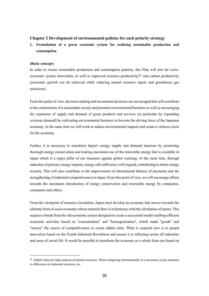# **Chapter 2 Development of environmental policies for each priority strategy**

**1. Formulation of a green economic system for realizing sustainable production and consumption**

# **(Basic concept)**

-

In order to ensure sustainable production and consumption patterns, this Plan will aim for socioeconomic system innovation, as well as improved resource productivity<sup>20</sup> and carbon productivity (economic growth can be achieved while reducing natural resource inputs and greenhouse gas emissions).

From this point of view, decision-making and investment decisions are encouraged that will contribute to the construction of a sustainable society and promote environmental business as well as encouraging the expansion of supply and demand of green products and services (in particular by expanding overseas demand) by cultivating environmental business to become the driving force of the Japanese economy. At the same time we will work to reduce environmental impacts and create a virtuous circle for the economy.

Further, it is necessary to transform Japan's energy supply and demand structure by promoting thorough energy conservation and making maximum use of the renewable energy that is available in Japan which is a major pillar of our measures against global warming. At the same time, through reduction of primary energy imports, energy self-sufficiency will expand, contributing to better energy security. This will also contribute to the improvement of international balance of payments and the strengthening of industrial competitiveness in Japan. From this point of view, we will encourage efforts towards the maximum introduction of energy conservation and renewable energy by companies, consumers and others.

From the viewpoint of resource circulation, Japan must develop an economy that moves towards the ultimate form of socio-economy whose material flow is in harmony with the circulation of nature. This requires a break from the old economic system designed to create a successful model enabling efficient economic activities based on "concentration" and "homogenization", which made "goods" and "money" the source of competitiveness to create added value. What is required now is to propel innovation based on the Fourth Industrial Revolution and ensure it is reflecting across all industries and areas of social life. It would be possible to transform the economy as a whole from one based on

 $20$  Added value per input amount of natural resources. When comparing internationally, it is necessary to pay attention to differences in industrial structure, etc.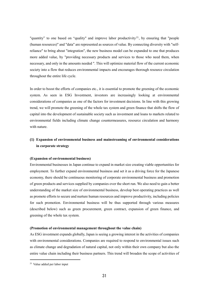"quantity" to one based on "quality" and improve labor productivity<sup>21</sup>, by ensuring that "people (human resources)" and "data" are represented as sources of value. By connecting diversity with "selfreliance" to bring about "integration", the new business model can be expanded to one that produces more added value, by "providing necessary products and services to those who need them, when necessary, and only in the amounts needed ". This will optimize material flow of the current economic society into a flow that reduces environmental impacts and encourages thorough resource circulation throughout the entire life cycle.

In order to boost the efforts of companies etc., it is essential to promote the greening of the economic system. As seen in ESG Investment, investors are increasingly looking at environmental considerations of companies as one of the factors for investment decisions. In line with this growing trend, we will promote the greening of the whole tax system and green finance that shifts the flow of capital into the development of sustainable society such as investment and loans to markets related to environmental fields including climate change countermeasures, resource circulation and harmony with nature.

# **(1) Expansion of environmental business and mainstreaming of environmental considerations in corporate strategy**

#### **(Expansion of environmental business)**

Environmental businesses in Japan continue to expand in market size creating viable opportunities for employment. To further expand environmental business and set it as a driving force for the Japanese economy, there should be continuous monitoring of corporate environmental business and promotion of green products and services supplied by companies over the short run. We also need to gain a better understanding of the market size of environmental business, develop best operating practices as well as promote efforts to secure and nurture human resources and improve productivity, including policies for such promotion. Environmental business will be thus supported through various measures (described below) such as green procurement, green contract, expansion of green finance, and greening of the whole tax system.

#### **(Promotion of environmental management throughout the value chain)**

As ESG investment expands globally, Japan is seeing a growing interest in the activities of companies with environmental considerations. Companies are required to respond to environmental issues such as climate change and degradation of natural capital, not only within their own company but also the entire value chain including their business partners. This trend will broaden the scope of activities of

<sup>21</sup> Value added per labor input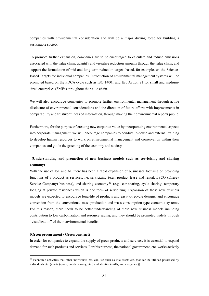companies with environmental consideration and will be a major driving force for building a sustainable society.

To promote further expansion, companies are to be encouraged to calculate and reduce emissions associated with the value chain, quantify and visualize reduction amounts through the value chain, and support the formulation of mid and long-term reduction targets based, for example, on the Science-Based Targets for individual companies. Introduction of environmental management systems will be promoted based on the PDCA cycle such as ISO 14001 and Eco Action 21 for small and mediumsized enterprises (SMEs) throughout the value chain.

We will also encourage companies to promote further environmental management through active disclosure of environmental considerations and the direction of future efforts with improvements in comparability and trustworthiness of information, through making their environmental reports public.

Furthermore, for the purpose of creating new corporate value by incorporating environmental aspects into corporate management, we will encourage companies to conduct in-house and external training to develop human resources to work on environmental management and conservation within their companies and guide the greening of the economy and society.

# **(Understanding and promotion of new business models such as servicizing and sharing economy)**

With the use of IoT and AI, there has been a rapid expansion of businesses focusing on providing functions of a product as services, i.e. servicizing (e.g., product lease and rental, ESCO (Energy Service Company) business), and sharing economy<sup>22</sup> (e.g., car sharing, cycle sharing, temporary lodging at private residence) which is one form of servicizing. Expansion of these new business models are expected to encourage long-life of products and easy-to-recycle designs, and encourage conversion from the conventional mass-production and mass-consumption type economic systems. For this reason, there needs to be better understanding of these new business models including contribution to low carbonization and resource saving, and they should be promoted widely through "visualization" of their environmental benefits.

#### **(Green procurement / Green contract)**

-

In order for companies to expand the supply of green products and services, it is essential to expand demand for such products and services. For this purpose, the national government, etc. works actively

 $^{22}$  Economic activities that other individuals etc. can use such as idle assets etc. that can be utilized possessed by individuals etc. (assets (space, goods, money, etc.) and abilities (skills, knowledge etc)).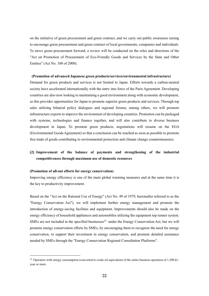on the initiative of green procurement and green contract, and we carry out public awareness raising to encourage green procurement and green contract of local governments, companies and individuals. To move green procurement forward, a review will be conducted on the roles and directions of the "Act on Promotion of Procurement of Eco-Friendly Goods and Services by the State and Other Entities" (Act No. 100 of 2000).

# **(Promotion of advanced Japanese green products/services/environmental infrastructure)**

Demand for green products and services is not limited to Japan. Efforts towards a carbon-neutral society have accelerated internationally with the entry into force of the Paris Agreement. Developing countries are also now looking to maintaining a good environment along with economic development, so this provides opportunities for Japan to promote superior green products and services. Through top sales utilizing bilateral policy dialogues and regional forums, among others, we will promote infrastructure exports to improve the environment of developing countries. Promotion can be packaged with systems, technologies and finance together, and will also contribute to diverse business development in Japan. To promote green products, negotiations will resume on the EGA (Environmental Goods Agreement) so that a conclusion can be reached as soon as possible to promote free trade of goods contributing to environmental protection and climate change countermeasures.

# **(2) Improvement of the balance of payments and strengthening of the industrial competitiveness through maximum use of domestic resources**

## **(Promotion of all-out efforts for energy conservation)**

-

Improving energy efficiency is one of the main global warming measures and at the same time it is the key to productivity improvement.

Based on the "Act on the Rational Use of Energy" (Act No. 49 of 1979, hereinafter referred to as the "Energy Conservation Act"), we will implement further energy management and promote the introduction of energy-saving facilities and equipment. Improvements should also be made on the energy efficiency of household appliances and automobiles utilizing the equipment top runner system. SMEs are not included in the specified businesses $^{23}$  under the Energy Conservation Act, but we will promote energy conservation efforts by SMEs, by encouraging them to recognize the need for energy conservation, to support their investment in energy conservation, and promote detailed assistance needed by SMEs through the "Energy Conservation Regional Consultation Platforms".

<sup>&</sup>lt;sup>23</sup> Operators with energy consumption (converted to crude oil equivalent) of the entire business operation of 1,500 kl / year or more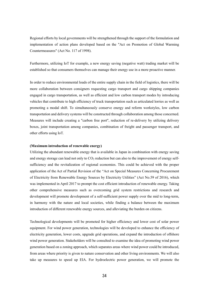Regional efforts by local governments will be strengthened through the support of the formulation and implementation of action plans developed based on the "Act on Promotion of Global Warming Countermeasures" (Act No. 117 of 1998).

Furthermore, utilizing IoT for example, a new energy saving (negative watt) trading market will be established so that consumers themselves can manage their energy use in a more proactive manner.

In order to reduce environmental loads of the entire supply chain in the field of logistics, there will be more collaboration between consigners requesting cargo transport and cargo shipping companies engaged in cargo transportation, as well as efficient and low carbon transport modes by introducing vehicles that contribute to high efficiency of truck transportation such as articulated lorries as well as promoting a modal shift. To simultaneously conserve energy and reform workstyles, low carbon transportation and delivery systems will be constructed through collaboration among those concerned. Measures will include creating a "carbon free port", reduction of re-delivery by utilizing delivery boxes, joint transportation among companies, combination of freight and passenger transport, and other efforts using IoT.

#### **(Maximum introduction of renewable energy)**

Utilizing the abundant renewable energy that is available in Japan in combination with energy saving and energy storage can lead not only to  $CO<sub>2</sub>$  reduction but can also to the improvement of energy selfsufficiency and the revitalization of regional economies. This could be achieved with the proper application of the Act of Partial Revision of the "Act on Special Measures Concerning Procurement of Electricity from Renewable Energy Sources by Electricity Utilities" (Act No.59 of 2016), which was implemented in April 2017 to prompt the cost efficient introduction of renewable energy. Taking other comprehensive measures such as overcoming grid system restrictions and research and development will promote development of a self-sufficient power supply over the mid to long-term, in harmony with the nature and local societies, while finding a balance between the maximum introduction of different renewable energy sources, and alleviating the burden on citizens.

Technological developments will be promoted for higher efficiency and lower cost of solar power equipment. For wind power generation, technologies will be developed to enhance the efficiency of electricity generation, lower costs, upgrade grid operations, and expand the introduction of offshore wind power generation. Stakeholders will be consulted to examine the idea of promoting wind power generation based on a zoning approach, which separates areas where wind power could be introduced, from areas where priority is given to nature conservation and other living environments. We will also take up measures to speed up EIA. For hydroelectric power generation, we will promote the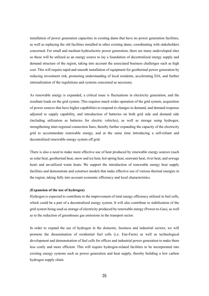installation of power generation capacities in existing dams that have no power generation facilities, as well as replacing the old facilities installed in other existing dams, coordinating with stakeholders concerned. For small and medium hydroelectric power generation, there are many undeveloped sites so these will be utilized as an energy source to lay a foundation of decentralized energy supply and demand structure of the region, taking into account the associated business challenges such as high cost. This will require rapid and smooth installation of equipment for geothermal power generation by reducing investment risk, promoting understanding of local residents, accelerating EIA, and further rationalization of the regulations and systems concerned as necessary.

As renewable energy is expanded, a critical issue is fluctuations in electricity generation, and the resultant loads on the grid system. This requires much wider operation of the grid system, acquisition of power sources that have higher capabilities to respond to changes in demand, and demand response adjusted to supply capability, and introduction of batteries on both grid side and demand side (including utilization as batteries for electric vehicles), as well as storage using hydrogen, strengthening inter-regional connection lines, thereby further expanding the capacity of the electricity grid to accommodate renewable energy, and at the same time introducing a self-reliant and decentralized renewable energy system off grid.

There is also a need to make more effective use of heat produced by renewable energy sources (such as solar heat, geothermal heat, snow and ice heat, hot spring heat, seawater heat, river heat, and sewage heat) and un-utilized waste heats. We support the introduction of renewable energy heat supply facilities and demonstrate and construct models that make effective use of various thermal energies in the region, taking fully into account economic efficiency and local characteristics.

## **(Expansion of the use of hydrogen)**

Hydrogen is expected to contribute to the improvement of total energy efficiency utilized in fuel cells, which could be a part of a decentralized energy system. It will also contribute to stabilization of the grid system being used as storage of electricity produced by renewable energy (Power-to-Gas), as well as to the reduction of greenhouse gas emissions in the transport sector.

In order to expand the use of hydrogen in the domestic, business and industrial sectors, we will promote the dissemination of residential fuel cells (i.e. Ene-Farm) as well as technological development and demonstration of fuel cells for offices and industrial power generation to make them less costly and more efficient. This will require hydrogen-related facilities to be incorporated into existing energy systems such as power generation and heat supply, thereby building a low carbon hydrogen supply chain.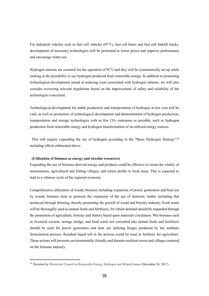For industrial vehicles such as fuel cell vehicles (FCV), fuel cell buses and fuel cell forklift trucks, development of necessary technologies will be promoted to lower prices and improve performance and encourage wider use.

Hydrogen stations are essential for the operation of FCV and they will be systematically set up while looking at the possibility to use hydrogen produced from renewable energy. In addition to promoting technological development aimed at reducing costs associated with hydrogen stations, we will also consider reviewing relevant regulations based on the improvement of safety and reliability of the technologies concerned.

Technological development for stable production and transportation of hydrogen at low cost will be vital, as well as promotion of technological development and demonstration of hydrogen production, transportation and storage technologies with as few  $CO<sub>2</sub>$  emissions as possible, such as hydrogen production from renewable energy and hydrogen transformation of un-utilized energy sources.

This will require expanding the use of hydrogen according to the "Basic Hydrogen Strategy"<sup>24</sup> including efforts elaborated above.

#### **(Utilization of biomass as energy and circular resources)**

-

Expanding the use of biomass-derived energy and products could be effective to create the vitality of mountainous, agricultural and fishing villages, and return profits to local areas. This is expected to lead to a virtuous cycle of the regional economy.

Comprehensive utilization of woody biomass including expansion of power generation and heat use by woody biomass aims to promote the expansion of the use of domestic timber including that produced through thinning, thereby promoting the growth of wood and forestry industry. Food waste will be thoroughly used as animal feeds and fertilizers, for which demand should be expanded through the promotion of agriculture, forestry and fishery based upon materials circulation. Wet biomass such as livestock excreta, sewage sludge, and food waste not converted into animal feeds and fertilizers should be used for power generation and heat use utilizing biogas produced by the methane fermentation process. Residual liquid left in the process could be used as fertilizer for agriculture. These actions will promote environmentally friendly and disaster-resilient towns and villages centered on the biomass industry.

<sup>24</sup> Decision by Ministerial Council on Renewable Energy, Hydrogen and Related Issues (December 26, 2017)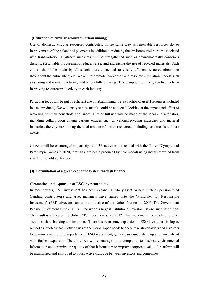#### **(Utilization of circular resources, urban mining)**

Use of domestic circular resources contributes, in the same way as renewable resources do, to improvement of the balance of payments in addition to reducing the environmental burden associated with transportation. Upstream measures will be strengthened such as environmentally conscious designs, sustainable procurement, reduce, reuse, and increasing the use of recycled materials. Such efforts should be made by all stakeholders concerned to ensure efficient resource circulation throughout the entire life cycle. We aim to promote low carbon and resource circulation models such as sharing and re-manufacturing, and others fully utilizing IT, and support will be given to efforts on improving resource productivity in each industry.

Particular focus will be put on efficient use of urban mining (i.e. extraction of useful resources included in used products). We will analyze how metals could be collected, looking at the impact and effect of recycling of small household appliances. Further full use will be made of the local characteristics, including collaboration among various entities such as venous/recycling industries and material industries, thereby maximizing the total amount of metals recovered, including base metals and rare metals.

Citizens will be encouraged to participate in 3R activities associated with the Tokyo Olympic and Paralympic Games in 2020, through a project to produce Olympic medals using metals recycled from small household appliances.

## **(3) Formulation of a green economic system through finance**

## **(Promotion and expansion of ESG investment etc.)**

In recent years, ESG investment has been expanding. Many asset owners such as pension fund (funding contributors) and asset managers have signed onto the "Principles for Responsible Investment" (PRI) advocated under the initiative of the United Nations in 2006. The Government Pension Investment Fund (GPIF) —the world's largest institutional investor—is one such institution. The result is a burgeoning global ESG investment since 2012. This movement is spreading to other sectors such as banking and insurance. There has been some expansion of ESG investment in Japan, but not as much as that in other parts of the world. Japan needs to encourage stakeholders and investors to be more aware of the importance of ESG investment, get a clearer understanding and move ahead with further expansion. Therefore, we will encourage more companies to disclose environmental information and optimize the quality of that information to improve corporate value. A platform will be maintained and improved to boost active dialogue between investors and companies.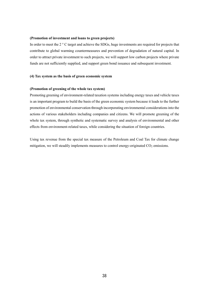## **(Promotion of investment and loans to green projects)**

In order to meet the 2 ° C target and achieve the SDGs, huge investments are required for projects that contribute to global warming countermeasures and prevention of degradation of natural capital. In order to attract private investment to such projects, we will support low carbon projects where private funds are not sufficiently supplied, and support green bond issuance and subsequent investment.

## **(4) Tax system as the basis of green economic system**

## **(Promotion of greening of the whole tax system)**

Promoting greening of environment-related taxation systems including energy taxes and vehicle taxes is an important program to build the basis of the green economic system because it leads to the further promotion of environmental conservation through incorporating environmental considerations into the actions of various stakeholders including companies and citizens. We will promote greening of the whole tax system, through synthetic and systematic survey and analysis of environmental and other effects from environment-related taxes, while considering the situation of foreign countries.

Using tax revenue from the special tax measure of the Petroleum and Coal Tax for climate change mitigation, we will steadily implements measures to control energy-originated  $CO<sub>2</sub>$  emissions.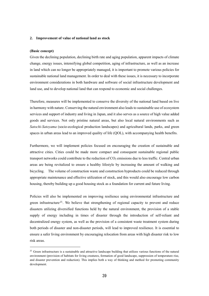#### **2. Improvement of value of national land as stock**

#### **(Basic concept)**

-

Given the declining population, declining birth rate and aging population, apparent impacts of climate change, energy issues, intensifying global competition, aging of infrastructure, as well as an increase in land which can no longer be appropriately managed, it is important to promote various policies for sustainable national land management. In order to deal with these issues, it is necessary to incorporate environment considerations in both hardware and software of social infrastructure development and land use, and to develop national land that can respond to economic and social challenges.

Therefore, measures will be implemented to conserve the diversity of the national land based on live in harmony with nature. Conserving the natural environment also leads to sustainable use of ecosystem services and support of industry and living in Japan, and it also serves as a source of high value added goods and services. Not only pristine natural areas, but also local natural environments such as *Satochi-Satoyama* (socio-ecological production landscapes) and agricultural lands, parks, and green spaces in urban areas lead to an improved quality of life (QOL), with accompanying health benefits.

Furthermore, we will implement policies focused on encouraging the creation of sustainable and attractive cities. Cities could be made more compact and consequent sustainable regional public transport networks could contribute to the reduction of  $CO<sub>2</sub>$  emissions due to less traffic. Central urban areas are being revitalized to ensure a healthy lifestyle by increasing the amount of walking and bicycling. The volume of construction waste and construction byproducts could be reduced through appropriate maintenance and effective utilization of stock, and this would also encourage low carbon housing, thereby building up a good housing stock as a foundation for current and future living.

Policies will also be implemented on improving resilience using environmental infrastructure and green infrastructure<sup>25</sup>. We believe that strengthening of regional capacity to prevent and reduce disasters utilizing diversified functions held by the natural environment, the provision of a stable supply of energy including in times of disaster through the introduction of self-reliant and decentralized energy system, as well as the provision of a consistent waste treatment system during both periods of disaster and non-disaster periods, will lead to improved resilience. It is essential to ensure a safer living environment by encouraging relocation from areas with high disaster risk to low risk areas.

 $25$  Green infrastructure is a sustainable and attractive landscape building that utilizes various functions of the natural environment (provision of habitats for living creatures, formation of good landscape, suppression of temperature rise, and disaster prevention and reduction). This implies both a way of thinking and method for promoting community development.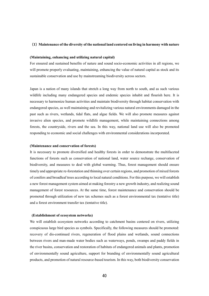# (**1**)**Maintenance of the diversity of the national land centered on living in harmony with nature**

#### **(Maintaining, enhancing and utilizing natural capital)**

For ensured and sustained benefits of nature and sound socio-economic activities in all regions, we will promote properly evaluating, maintaining, enhancing the value of natural capital as stock and its sustainable conservation and use by mainstreaming biodiversity across sectors.

Japan is a nation of many islands that stretch a long way from north to south, and as such various wildlife including many endangered species and endemic species inhabit and flourish here. It is necessary to harmonize human activities and maintain biodiversity through habitat conservation with endangered species, as well maintaining and revitalizing various natural environments damaged in the past such as rivers, wetlands, tidal flats, and algae fields. We will also promote measures against invasive alien species, and promote wildlife management, while maintaining connections among forests, the countryside, rivers and the sea. In this way, national land use will also be promoted responding to economic and social challenges with environmental considerations incorporated.

#### **(Maintenance and conservation of forests)**

It is necessary to promote diversified and healthy forests in order to demonstrate the multifaceted functions of forests such as conservation of national land, water source recharge, conservation of biodiversity, and measures to deal with global warming. Thus, forest management should ensure timely and appropriate re-forestation and thinning over certain regions, and promotion of mixed forests of conifers and broadleaf trees according to local natural conditions. For this purpose, we will establish a new forest management system aimed at making forestry a new growth industry, and realizing sound management of forest resources. At the same time, forest maintenance and conservation should be promoted through utilization of new tax schemes such as a forest environmental tax (tentative title) and a forest environment transfer tax (tentative title).

#### **(Establishment of ecosystem networks)**

We will establish ecosystem networks according to catchment basins centered on rivers, utilizing conspicuous large bird species as symbols. Specifically, the following measures should be promoted: recovery of dis-continued rivers, regeneration of flood plains and wetlands, sound connections between rivers and man-made water bodies such as waterways, ponds, swamps and paddy fields in the river basins, conservation and restoration of habitats of endangered animals and plants, promotion of environmentally sound agriculture, support for branding of environmentally sound agricultural products, and promotion of natural resource-based tourism. In this way, both biodiversity conservation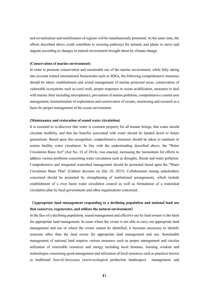and revitalization and mobilization of regions will be simultaneously promoted. At the same time, the efforts described above could contribute to securing pathways for animals and plants to move and migrate according to changes in natural environment brought about by climate change.

#### **(Conservation of marine environment)**

In order to promote conservation and sustainable use of the marine environment, while fully taking into account related international frameworks such as SDGs, the following comprehensive measures should be taken: establishment and sound management of marine protected areas, conservation of vulnerable ecosystems such as coral reefs, proper responses to ocean acidification, measures to deal with marine litter including microplastics, prevention of marine pollution, comprehensive coastal area management, harmonization of exploitation and conservation of oceans, monitoring and research as a basis for proper management of the ocean environment.

#### **(Maintenance and restoration of sound water circulation)**

It is essential to re-discover that water is common property for all human beings, that water should circulate healthily, and that the benefits associated with water should be handed down to future generations. Based upon this recognition, comprehensive measures should be taken to maintain or restore healthy water circulation. In line with the understanding described above, the "Water Circulation Basic Act" (Act No. 16 of 2014), was enacted, increasing the momentum for efforts to address various problems concerning water circulation such as droughts, floods and water pollution. Comprehensive and integrated watershed management should be promoted based upon the "Water Circulation Basic Plan" (Cabinet decision on July 10, 2015). Collaboration among stakeholders concerned should be promoted by strengthening of institutional arrangements, which include establishment of a river basin water circulation council as well as formulation of a watershed circulation plan by local governments and other organizations concerned.

# (**Appropriate land management responding to a declining population and national land use that conserves, regenerates, and utilizes the natural environment**)

In the face of a declining population, sound management and effective use by land owners is the basis for appropriate land management. In cases where the owner is not able to carry out appropriate land management and use or where the owner cannot be identified, it becomes necessary to identify someone other than the land owner for appropriate land management and use. Sustainable management of national land requires various measures such as proper management and circular utilization of renewable resources and energy including local biomass, learning wisdom and technologies concerning good management and utilization of local resources such as practices known as traditional *Satochi-Satoyama* (socio-ecological production landscapes) management, and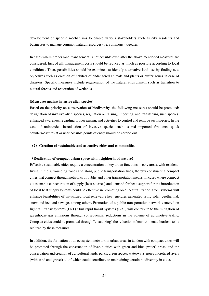development of specific mechanisms to enable various stakeholders such as city residents and businesses to manage common natural resources (i.e. commons) together.

In cases where proper land management is not possible even after the above mentioned measures are considered, first of all, management costs should be reduced as much as possible according to local conditions. Then, possibilities should be examined to identify alternative land use by finding new objectives such as creation of habitats of endangered animals and plants or buffer zones in case of disasters. Specific measures include regeneration of the natural environment such as transition to natural forests and restoration of wetlands.

## **(Measures against invasive alien species)**

Based on the priority on conservation of biodiversity, the following measures should be promoted: designation of invasive alien species, regulation on raising, importing, and transferring such species, enhanced awareness regarding proper raising, and activities to control and remove such species. In the case of unintended introduction of invasive species such as red imported fire ants, quick countermeasures at or near possible points of entry should be carried out.

## (**2**)**Creation of sustainable and attractive cities and communities**

#### (**Realization of compact urban space with neighborhood nature**)

Effective sustainable cities require a concentration of key urban functions in core areas, with residents living in the surrounding zones and along public transportation lines, thereby constructing compact cities that connect through networks of public and other transportation means. In cases where compact cities enable concentration of supply (heat sources) and demand for heat, support for the introduction of local heat supply systems could be effective in promoting local heat utilization. Such systems will enhance feasibilities of un-utilized local renewable heat energies generated using solar, geothermal, snow and ice, and sewage, among others. Promotion of a public transportation network centered on light rail transit systems (LRT) / bus rapid transit systems (BRT) will contribute to the mitigation of greenhouse gas emissions through consequential reductions in the volume of automotive traffic. Compact cities could be promoted through "visualizing" the reduction of environmental burdens to be realized by these measures.

In addition, the formation of an ecosystem network in urban areas in tandem with compact cities will be promoted through the construction of livable cities with green and blue (water) areas, and the conservation and creation of agricultural lands, parks, green spaces, waterways, non-concretized rivers (with sand and gravel) all of which could contribute to maintaining certain biodiversity in cities.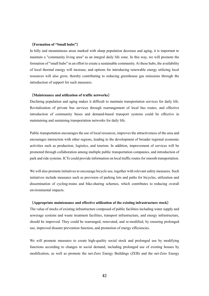### (**Formation of "Small hubs"**)

In hilly and mountainous areas marked with sharp population decrease and aging, it is important to maintain a "community living area" as an integral daily life zone. In this way, we will promote the formation of "small hubs" in an effort to create a sustainable community. At these hubs, the availability of local thermal energy will increase, and options for introducing renewable energy utilizing local resources will also grow, thereby contributing to reducing greenhouse gas emissions through the introduction of support for such measures.

#### (**Maintenance and utilization of traffic networks**)

Declining population and aging makes it difficult to maintain transportation services for daily life. Revitalization of private bus services through rearrangement of local bus routes, and effective introduction of community buses and demand-based transport systems could be effective in maintaining and sustaining transportation networks for daily life.

Public transportation encourages the use of local resources, improves the attractiveness of the area and encourages interaction with other regions, leading to the development of broader regional economic activities such as production, logistics, and tourism. In addition, improvement of services will be promoted through collaboration among multiple public transportation companies, and introduction of park and ride systems. ICTs could provide information on local traffic routes for smooth transportation.

We will also promote initiatives to encourage bicycle use, together with relevant safety measures. Such initiatives include measures such as provision of parking lots and paths for bicycles, utilization and dissemination of cycling-trains and bike-sharing schemes, which contributes to reducing overall environmental impacts.

## (**Appropriate maintenance and effective utilization of the existing infrastructure stock**)

The value of stocks of existing infrastructure composed of public facilities including water supply and sewerage systems and waste treatment facilities, transport infrastructure, and energy infrastructure, should be improved. They could be rearranged, renovated, and re-modified, by ensuring prolonged use, improved disaster prevention function, and promotion of energy efficiencies.

We will promote measures to create high-quality social stock and prolonged use by modifying functions according to changes in social demand, including prolonged use of existing houses by modification, as well as promote the net-Zero Energy Buildings (ZEB) and the net-Zero Energy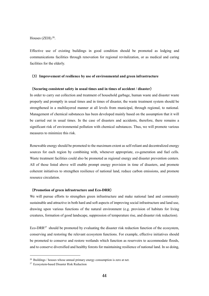Houses  $(ZEH).^{26}$ .

Effective use of existing buildings in good condition should be promoted as lodging and communications facilities through renovation for regional revitalization, or as medical and caring facilities for the elderly.

## (**3**)**Improvement of resilience by use of environmental and green infrastructure**

#### (**Securing consistent safety in usual times and in times of accident / disaster**)

In order to carry out collection and treatment of household garbage, human waste and disaster waste properly and promptly in usual times and in times of disaster, the waste treatment system should be strengthened in a multilayered manner at all levels from municipal, through regional, to national. Management of chemical substances has been developed mainly based on the assumption that it will be carried out in usual times. In the case of disasters and accidents, therefore, there remains a significant risk of environmental pollution with chemical substances. Thus, we will promote various measures to minimize this risk.

Renewable energy should be promoted to the maximum extent as self-reliant and decentralized energy sources for each region by combining with, whenever appropriate, co-generation and fuel cells. Waste treatment facilities could also be promoted as regional energy and disaster prevention centers. All of those listed above will enable prompt energy provision in time of disasters, and promote coherent initiatives to strengthen resilience of national land, reduce carbon emissions, and promote resource circulation.

## (**Promotion of green infrastructure and Eco-DRR**)

We will pursue efforts to strengthen green infrastructure and make national land and community sustainable and attractive in both hard and soft aspects of improving social infrastructure and land use, drawing upon various functions of the natural environment (e.g. provision of habitats for living creatures, formation of good landscape, suppression of temperature rise, and disaster risk reduction).

Eco-DRR $^{27}$  should be promoted by evaluating the disaster risk reduction function of the ecosystem, conserving and restoring the relevant ecosystem functions. For example, effective initiatives should be promoted to conserve and restore wetlands which function as reservoirs to accommodate floods, and to conserve diversified and healthy forests for maintaining resilience of national land. In so doing,

-

 $26$  Buildings / houses whose annual primary energy consumption is zero at net.

<sup>27</sup> Ecosystem-based Disaster Risk Reduction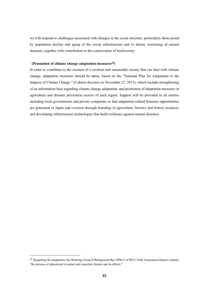we will respond to challenges associated with changes in the social structure, particularly those posed by population decline and aging of the social infrastructure and to drastic worsening of natural disasters, together with contribution to the conservation of biodiversity.

## **(Promotion of climate change adaptation measures<sup>28</sup>)**

In order to contribute to the creation of a resilient and sustainable society that can deal with climate change, adaptation measures should be taken, based on the "National Plan for Adaptation to the Impacts of Climate Change " (Cabinet decision on November 27, 2015), which include strengthening of an information base regarding climate change adaptation, and promotion of adaptation measures in agriculture and disaster prevention sectors of each region. Support will be provided to all entities including local governments and private companies so that adaptation related business opportunities are generated in Japan and overseas through branding of agriculture, forestry and fishery products, and developing infrastructure technologies that build resilience against natural disasters.

-

<sup>&</sup>lt;sup>28</sup> Regarding the adaptation, the Working Group II Background Box SPM.2 of IPCC Fifth Assessment Report explains "the process of adjustment to actual and expected climate and its effects."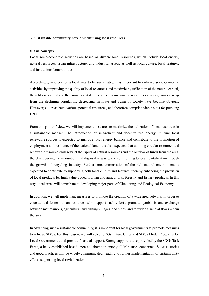#### **3. Sustainable community development using local resources**

#### **(Basic concept)**

Local socio-economic activities are based on diverse local resources, which include local energy, natural resources, urban infrastructure, and industrial assets, as well as local culture, local features, and institutions/communities.

Accordingly, in order for a local area to be sustainable, it is important to enhance socio-economic activities by improving the quality of local resources and maximizing utilization of the natural capital, the artificial capital and the human capital of the area in a sustainable way. In local areas, issues arising from the declining population, decreasing birthrate and aging of society have become obvious. However, all areas have various potential resources, and therefore comprise viable sites for pursuing II2ES.

From this point of view, we will implement measures to maximize the utilization of local resources in a sustainable manner. The introduction of self-reliant and decentralized energy utilizing local renewable sources is expected to improve local energy balance and contribute to the promotion of employment and resilience of the national land. It is also expected that utilizing circular resources and renewable resources will restrict the inputs of natural resources and the outflow of funds from the area, thereby reducing the amount of final disposal of waste, and contributing to local revitalization through the growth of recycling industry. Furthermore, conservation of the rich natural environment is expected to contribute to supporting both local culture and features, thereby enhancing the provision of local products for high value-added tourism and agricultural, forestry and fishery products. In this way, local areas will contribute to developing major parts of Circulating and Ecological Economy.

In addition, we will implement measures to promote the creation of a wide area network, in order to educate and foster human resources who support such efforts, promote symbiosis and exchange between mountainous, agricultural and fishing villages, and cities, and to widen financial flows within the area.

In advancing such a sustainable community, it is important for local governments to promote measures to achieve SDGs. For this reason, we will select SDGs Future Cities and SDGs Model Programs for Local Governments, and provide financial support. Strong support is also provided by the SDGs Task Force, a body established based upon collaboration among all Ministries concerned. Success stories and good practices will be widely communicated, leading to further implementation of sustainability efforts supporting local revitalization.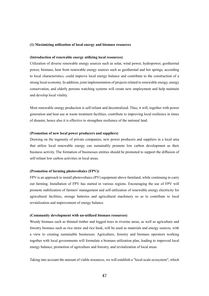## **(1) Maximizing utilization of local energy and biomass resources**

#### **(Introduction of renewable energy utilizing local resources)**

Utilization of diverse renewable energy sources such as solar, wind power, hydropower, geothermal power, biomass, heat from renewable energy sources such as geothermal and hot springs, according to local characteristics, could improve local energy balance and contribute to the construction of a strong local economy. In addition, joint implementation of projects related to renewable energy, energy conservation, and elderly persons watching systems will create new employment and help maintain and develop local vitality.

Most renewable energy production is self-reliant and decentralized. Thus, it will, together with power generation and heat use at waste treatment facilities, contribute to improving local resilience in times of disaster, hence also it is effective to strengthen resilience of the national land.

## **(Promotion of new local power producers and suppliers)**

Drawing on the ingenuity of private companies, new power producers and suppliers in a local area that utilize local renewable energy can sustainably promote low carbon development as their business activity. The formation of businesses entities should be promoted to support the diffusion of self-reliant low carbon activities in local areas.

## **(Promotion of farming photovoltaics (FPV))**

FPV is an approach to install photovoltaics (PV) equipment above farmland, while continuing to carry out farming. Installation of FPV has started in various regions. Encouraging the use of FPV will promote stabilization of farmers' management and self-utilization of renewable energy electricity for agricultural facilities, storage batteries and agricultural machinery so as to contribute to local revitalization and improvement of energy balance.

#### **(Community development with un-utilized biomass resources)**

Woody biomass such as thinned timber and logged trees in riverine areas, as well as agriculture and forestry biomass such as rice straw and rice husk, will be used as materials and energy sources, with a view to creating sustainable businesses. Agriculture, forestry and biomass operators working together with local governments will formulate a biomass utilization plan, leading to improved local energy balance, promotion of agriculture and forestry, and revitalization of local areas.

Taking into account the amount of viable resources, we will establish a "local-scale ecosystem", which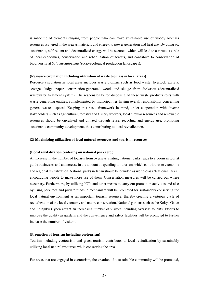is made up of elements ranging from people who can make sustainable use of woody biomass resources scattered in the area as materials and energy, to power generation and heat use. By doing so, sustainable, self-reliant and decentralized energy will be secured, which will lead to a virtuous circle of local economies, conservation and rehabilitation of forests, and contribute to conservation of biodiversity at *Satochi-Satoyama* (socio-ecological production landscapes).

#### **(Resource circulation including utilization of waste biomass in local areas)**

Resource circulation in local areas includes waste biomass such as food waste, livestock excreta, sewage sludge, paper, construction-generated wood, and sludge from Johkasou (decentralized wastewater treatment system). The responsibility for disposing of these waste products rests with waste generating entities, complemented by municipalities having overall responsibility concerning general waste disposal. Keeping this basic framework in mind, under cooperation with diverse stakeholders such as agricultural, forestry and fishery workers, local circular resources and renewable resources should be circulated and utilized through reuse, recycling and energy use, promoting sustainable community development, thus contributing to local revitalization.

#### **(2) Maximizing utilization of local natural resources and tourism resources**

#### **(Local revitalization centering on national parks etc.)**

An increase in the number of tourists from overseas visiting national parks leads to a boom in tourist guide businesses and an increase in the amount of spending for tourism, which contributes to economic and regional revitalization. National parks in Japan should be branded as world-class "National Parks", encouraging people to make more use of them. Conservation measures will be carried out where necessary. Furthermore, by utilizing ICTs and other means to carry out promotion activities and also by using park fees and private funds, a mechanism will be promoted for sustainably conserving the local natural environment as an important tourism resource, thereby creating a virtuous cycle of revitalization of the local economy and nature conservation. National gardens such as the Kokyo Gaien and Shinjuku Gyoen attract an increasing number of visitors including overseas tourists. Efforts to improve the quality as gardens and the convenience and safety facilities will be promoted to further increase the number of visitors.

#### **(Promotion of tourism including ecotourism)**

Tourism including ecotourism and green tourism contributes to local revitalization by sustainably utilizing local natural resources while conserving the area.

For areas that are engaged in ecotourism, the creation of a sustainable community will be promoted,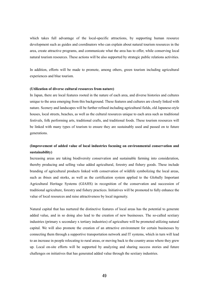which takes full advantage of the local-specific attractions, by supporting human resource development such as guides and coordinators who can explain about natural tourism resources in the area, create attractive programs, and communicate what the area has to offer, while conserving local natural tourism resources. These actions will be also supported by strategic public relations activities.

In addition, efforts will be made to promote, among others, green tourism including agricultural experiences and blue tourism.

### **(Utilization of diverse cultural resources from nature)**

In Japan, there are local features rooted in the nature of each area, and diverse histories and cultures unique to the area emerging from this background. These features and cultures are closely linked with nature. Scenery and landscapes will be further refined including agricultural fields, old Japanese-style houses, local streets, beaches, as well as the cultural resources unique to each area such as traditional festivals, folk performing arts, traditional crafts, and traditional foods. These tourism resources will be linked with many types of tourism to ensure they are sustainably used and passed on to future generations.

# **(Improvement of added value of local industries focusing on environmental conservation and sustainability)**

Increasing areas are taking biodiversity conservation and sustainable farming into consideration, thereby producing and selling value added agricultural, forestry and fishery goods. These include branding of agricultural products linked with conservation of wildlife symbolizing the local areas, such as ibises and storks, as well as the certification system applied to the Globally Important Agricultural Heritage Systems (GIAHS) in recognition of the conservation and succession of traditional agriculture, forestry and fishery practices. Initiatives will be promoted to fully enhance the value of local resources and raise attractiveness by local ingenuity.

Natural capital that has nurtured the distinctive features of local areas has the potential to generate added value, and in so doing also lead to the creation of new businesses. The so-called sextiary industries (primary x secondary x tertiary industries) of agriculture will be promoted utilizing natural capital. We will also promote the creation of an attractive environment for certain businesses by connecting them through a supportive transportation network and IT systems, which in turn will lead to an increase in people relocating to rural areas, or moving back to the country areas where they grew up. Local on-site efforts will be supported by analyzing and sharing success stories and future challenges on initiatives that has generated added value through the sextiary industries.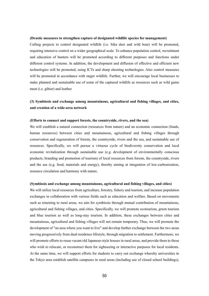#### **(Drastic measures to strengthen capture of designated wildlife species for management)**

Culling projects to control designated wildlife (i.e. Sika deer and wild boar) will be promoted, requiring intensive control on a wider geographical scale. To enhance population control, recruitment and education of hunters will be promoted according to different purposes and functions under different control systems. In addition, the development and diffusion of effective and efficient new technologies will be promoted, using ICTs and sharp shooting technologies. Also control measures will be promoted in accordance with target wildlife. Further, we will encourage local businesses to make planned and sustainable use of some of the captured wildlife as resources such as wild game meat (i.e. gibier) and leather.

# **(3) Symbiosis and exchange among mountainous, agricultural and fishing villages, and cities, and creation of a wide-area network**

#### **(Efforts to connect and support forests, the countryside, rivers, and the sea)**

We will establish a natural connection (resources from nature) and an economic connection (funds, human resources) between cities and mountainous, agricultural and fishing villages through conservation and regeneration of forests, the countryside, rivers and the sea, and sustainable use of resources. Specifically, we will pursue a virtuous cycle of biodiversity conservation and local economic revitalization through sustainable use (e.g. development of environmentally conscious products, branding and promotion of tourism) of local resources from forests, the countryside, rivers and the sea (e.g. food, materials and energy), thereby aiming at integration of low-carbonization, resource circulation and harmony with nature.

#### **(Symbiosis and exchange among mountainous, agricultural and fishing villages, and cities)**

We will utilize local resources from agriculture, forestry, fishery and tourism, and increase population exchanges in collaboration with various fields such as education and welfare. Based on movements such as returning to rural areas, we aim for symbiosis through mutual contribution of mountainous, agricultural and fishing villages, and cities. Specifically, we will promote ecotourism, green tourism and blue tourism as well as long-stay tourism. In addition, these exchanges between cities and mountainous, agricultural and fishing villages will not remain temporary. Thus, we will promote the development of "an area where you want to live" and develop further exchange between the two areas moving progressively from dual-residence lifestyle, through migration to settlement. Furthermore, we will promote efforts to reuse vacant old Japanese-style houses in rural areas, and provide them to those who wish to relocate, or reconstruct them for sightseeing or interactive purposes for local residents. At the same time, we will support efforts for students to carry out exchange whereby universities in the Tokyo area establish satellite campuses in rural areas (including use of closed school buildings),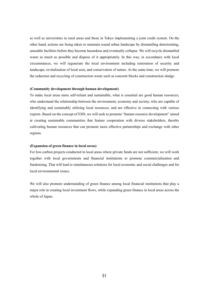as well as universities in rural areas and those in Tokyo implementing a joint credit system. On the other hand, actions are being taken to maintain sound urban landscape by dismantling deteriorating, unusable facilities before they become hazardous and eventually collapse. We will recycle dismantled waste as much as possible and dispose of it appropriately. In this way, in accordance with local circumstances, we will regenerate the local environment including restoration of security and landscape, revitalization of local area, and conservation of nature. At the same time, we will promote the reduction and recycling of construction waste such as concrete blocks and construction sludge.

## **(Community development through human development)**

To make local areas more self-reliant and sustainable, what is essential are good human resources, who understand the relationship between the environment, economy and society, who are capable of identifying and sustainably utilizing local resources, and are effective in connecting with various experts. Based on the concept of ESD, we will seek to promote "human resource development" aimed at creating sustainable communities that feature cooperation with diverse stakeholders, thereby cultivating human resources that can promote more effective partnerships and exchange with other regions.

## **(Expansion of green finance in local areas)**

For low-carbon projects conducted in local areas where private funds are not sufficient, we will work together with local governments and financial institutions to promote commercialization and fundraising. That will lead to simultaneous solutions for local economic and social challenges and for local environmental issues.

We will also promote understanding of green finance among local financial institutions that play a major role in creating local investment flows, while expanding green finance in local areas across the whole of Japan.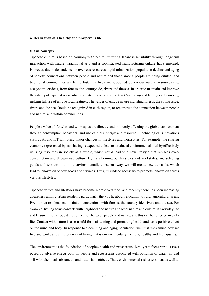#### **4. Realization of a healthy and prosperous life**

#### **(Basic concept)**

Japanese culture is based on harmony with nature, nurturing Japanese sensibility through long-term interaction with nature. Traditional arts and a sophisticated manufacturing culture have emerged. However, due to dependence on overseas resources, rapid urbanization, population decline and aging of society, connections between people and nature and those among people are being diluted, and traditional communities are being lost. Our lives are supported by various natural resources (i.e. ecosystem services) from forests, the countryside, rivers and the sea. In order to maintain and improve the vitality of Japan, it is essential to create diverse and attractive Circulating and Ecological Economy, making full use of unique local features. The values of unique nature including forests, the countryside, rivers and the sea should be recognized in each region, to reconstruct the connection between people and nature, and within communities.

People's values, lifestyles and workstyles are directly and indirectly affecting the global environment through consumption behaviors, and use of fuels, energy and resources. Technological innovations such as AI and IoT will bring major changes in lifestyles and workstyles. For example, the sharing economy represented by car sharing is expected to lead to a reduced environmental load by effectively utilizing resources in society as a whole, which could lead to a new lifestyle that replaces overconsumption and throw-away culture. By transforming our lifestyles and workstyles, and selecting goods and services in a more environmentally-conscious way, we will create new demands, which lead to innovation of new goods and services. Thus, it is indeed necessary to promote innovation across various lifestyles.

Japanese values and lifestyles have become more diversified, and recently there has been increasing awareness among urban residents particularly the youth, about relocation to rural agricultural areas. Even urban residents can maintain connections with forests, the countryside, rivers and the sea. For example, having some contacts with neighborhood nature and local nature and culture in everyday life and leisure time can boost the connection between people and nature, and this can be reflected in daily life. Contact with nature is also useful for maintaining and promoting health and has a positive effect on the mind and body. In response to a declining and aging population, we must re-examine how we live and work, and shift to a way of living that is environmentally friendly, healthy and high quality.

The environment is the foundation of people's health and prosperous lives, yet it faces various risks posed by adverse effects both on people and ecosystems associated with pollution of water, air and soil with chemical substances, and heat island effects. Thus, environmental risk assessment as well as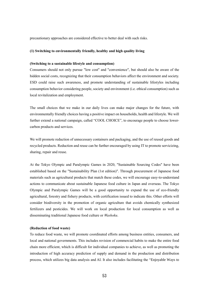precautionary approaches are considered effective to better deal with such risks.

#### **(1) Switching to environmentally friendly, healthy and high quality living**

## **(Switching to a sustainable lifestyle and consumption)**

Consumers should not only pursue "low cost" and "convenience", but should also be aware of the hidden social costs, recognizing that their consumption behaviors affect the environment and society. ESD could raise such awareness, and promote understanding of sustainable lifestyles including consumption behavior considering people, society and environment (i.e. ethical consumption) such as local revitalization and employment.

The small choices that we make in our daily lives can make major changes for the future, with environmentally friendly choices having a positive impact on households, health and lifestyle. We will further extend a national campaign, called "COOL CHOICE", to encourage people to choose lowercarbon products and services.

We will promote reduction of unnecessary containers and packaging, and the use of reused goods and recycled products. Reduction and reuse can be further encouraged by using IT to promote servicizing, sharing, repair and reuse.

At the Tokyo Olympic and Paralympic Games in 2020, "Sustainable Sourcing Codes" have been established based on the "Sustainability Plan (1st edition)". Through procurement of Japanese food materials such as agricultural products that match these codes, we will encourage easy-to-understand actions to communicate about sustainable Japanese food culture in Japan and overseas. The Tokyo Olympic and Paralympic Games will be a good opportunity to expand the use of eco-friendly agricultural, forestry and fishery products, with certification issued to indicate this. Other efforts will consider biodiversity in the promotion of organic agriculture that avoids chemically synthesized fertilizers and pesticides. We will work on local production for local consumption as well as disseminating traditional Japanese food culture or *Washoku*.

#### **(Reduction of food waste)**

To reduce food waste, we will promote coordinated efforts among business entities, consumers, and local and national governments. This includes revision of commercial habits to make the entire food chain more efficient, which is difficult for individual companies to achieve, as well as promoting the introduction of high accuracy prediction of supply and demand in the production and distribution process, which utilizes big data analysis and AI. It also includes facilitating the "Enjoyable Ways to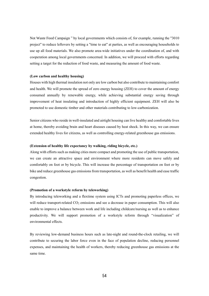Not Waste Food Campaign " by local governments which consists of, for example, running the "3010 project" to reduce leftovers by setting a "time to eat" at parties, as well as encouraging households to use up all food materials. We also promote area-wide initiatives under the coordination of, and with cooperation among local governments concerned. In addition, we will proceed with efforts regarding setting a target for the reduction of food waste, and measuring the amount of food waste.

## **(Low carbon and healthy housing)**

Houses with high thermal insulation not only are low carbon but also contribute to maintaining comfort and health. We will promote the spread of zero energy housing (ZEH) to cover the amount of energy consumed annually by renewable energy, while achieving substantial energy saving through improvement of heat insulating and introduction of highly efficient equipment. ZEH will also be promoted to use domestic timber and other materials contributing to low-carbonization.

Senior citizens who reside in well-insulated and airtight housing can live healthy and comfortable lives at home, thereby avoiding brain and heart diseases caused by heat shock. In this way, we can ensure extended healthy lives for citizens, as well as controlling energy-related greenhouse gas emissions.

## **(Extension of healthy life expectancy by walking, riding bicycle, etc.)**

Along with efforts such as making cities more compact and promoting the use of public transportation, we can create an attractive space and environment where more residents can move safely and comfortably on foot or by bicycle. This will increase the percentage of transportation on foot or by bike and reduce greenhouse gas emissions from transportation, as well as benefit health and ease traffic congestion.

## **(Promotion of a workstyle reform by teleworking)**

By introducing teleworking and a flextime system using ICTs and promoting paperless offices, we will reduce transport-related  $CO<sub>2</sub>$  emissions and see a decrease in paper consumption. This will also enable to improve a balance between work and life including childcare/nursing as well as to enhance productivity. We will support promotion of a workstyle reform through "visualization" of environmental effects.

By reviewing low-demand business hours such as late-night and round-the-clock retailing, we will contribute to securing the labor force even in the face of population decline, reducing personnel expenses, and maintaining the health of workers, thereby reducing greenhouse gas emissions at the same time.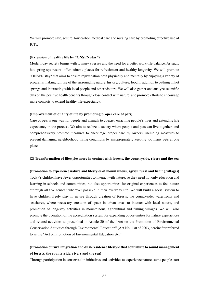We will promote safe, secure, low carbon medical care and nursing care by promoting effective use of ICTs.

## **(Extension of healthy life by "ONSEN stay")**

Modern day society brings with it many stresses and the need for a better work-life balance. As such, hot spring spa resorts offer suitable places for refreshment and healthy longevity. We will promote "ONSEN stay" that aims to ensure rejuvenation both physically and mentally by enjoying a variety of programs making full use of the surrounding nature, history, culture, food in addition to bathing in hot springs and interacting with local people and other visitors. We will also gather and analyze scientific data on the positive health benefits through close contact with nature, and promote efforts to encourage more contacts to extend healthy life expectancy.

## **(Improvement of quality of life by promoting proper care of pets)**

Care of pets is one way for people and animals to coexist, enriching people's lives and extending life expectancy in the process. We aim to realize a society where people and pets can live together, and comprehensively promote measures to encourage proper care by owners, including measures to prevent damaging neighborhood living conditions by inappropriately keeping too many pets at one place.

#### **(2) Transformation of lifestyles more in contact with forests, the countryside, rivers and the sea**

#### **(Promotion to experience nature and lifestyles of mountainous, agricultural and fishing villages)**

Today's children have fewer opportunities to interact with nature, so they need not only education and learning in schools and communities, but also opportunities for original experiences to feel nature "through all five senses" wherever possible in their everyday life. We will build a social system to have children freely play in nature through creation of forests, the countryside, waterfronts and seashores, where necessary, creation of space in urban areas to interact with local nature, and promotion of long-stay activities in mountainous, agricultural and fishing villages. We will also promote the operation of the accreditation system for expanding opportunities for nature experiences and related activities as prescribed in Article 20 of the "Act on the Promotion of Environmental Conservation Activities through Environmental Education" (Act No. 130 of 2003, hereinafter referred to as the "Act on Promotion of Environmental Education etc.")

# **(Promotion of rural migration and dual-residence lifestyle that contribute to sound management of forests, the countryside, rivers and the sea)**

Through participation in conservation initiatives and activities to experience nature, some people start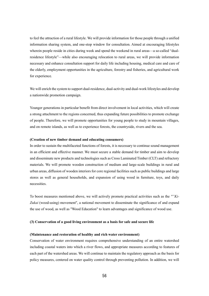to feel the attraction of a rural lifestyle. We will provide information for those people through a unified information sharing system, and one-stop window for consultation. Aimed at encouraging lifestyles wherein people reside in cities during week and spend the weekend in rural areas—a so-called "dualresidence lifestyle"—while also encouraging relocation to rural areas, we will provide information necessary and enhance consultation support for daily life including housing, medical care and care of the elderly, employment opportunities in the agriculture, forestry and fisheries, and agricultural work for experience.

We will enrich the system to support dual-residence, dual-activity and dual-work lifestyles and develop a nationwide promotion campaign.

Younger generations in particular benefit from direct involvement in local activities, which will create a strong attachment to the regions concerned, thus expanding future possibilities to promote exchange of people. Therefore, we will promote opportunities for young people to study in mountain villages, and on remote islands, as well as to experience forests, the countryside, rivers and the sea.

#### **(Creation of new timber demand and educating consumers)**

In order to sustain the multifaceted functions of forests, it is necessary to continue sound management in an efficient and effective manner. We must secure a stable demand for timber and aim to develop and disseminate new products and technologies such as Cross Laminated Timber (CLT) and refractory materials. We will promote wooden construction of medium and large-scale buildings in rural and urban areas, diffusion of wooden interiors for core regional facilities such as public buildings and large stores as well as general households, and expansion of using wood in furniture, toys, and daily necessities.

To boost measures mentioned above, we will actively promote practical activities such as the *""Ki-Zukai* (wood-using) movement", a national movement to disseminate the significance of and expand the use of wood, as well as "Wood Education" to learn advantages and significance of wood use.

#### **(3) Conservation of a good living environment as a basis for safe and secure life**

#### **(Maintenance and restoration of healthy and rich water environment)**

Conservation of water environment requires comprehensive understanding of an entire watershed including coastal waters into which a river flows, and appropriate measures according to features of each part of the watershed areas. We will continue to maintain the regulatory approach as the basis for policy measures, centered on water quality control through preventing pollution. In addition, we will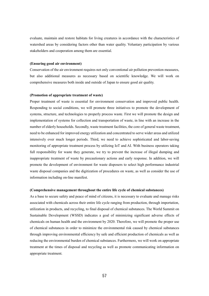evaluate, maintain and restore habitats for living creatures in accordance with the characteristics of watershed areas by considering factors other than water quality. Voluntary participation by various stakeholders and cooperation among them are essential.

## **(Ensuring good air environment)**

Conservation of the air environment requires not only conventional air pollution prevention measures, but also additional measures as necessary based on scientific knowledge. We will work on comprehensive measures both inside and outside of Japan to ensure good air quality.

#### **(Promotion of appropriate treatment of waste)**

Proper treatment of waste is essential for environment conservation and improved public health. Responding to social conditions, we will promote three initiatives to promote the development of systems, structure, and technologies to properly process waste. First we will promote the design and implementation of systems for collection and transportation of waste, in line with an increase in the number of elderly households. Secondly, waste treatment facilities, the core of general waste treatment, need to be enhanced for improved energy utilization and concentrated to serve wider areas and utilized intensively over much longer periods. Third, we need to achieve sophisticated and labor-saving monitoring of appropriate treatment process by utilizing IoT and AI. With business operators taking full responsibility for waste they generate, we try to prevent the increase of illegal dumping and inappropriate treatment of waste by precautionary actions and early response. In addition, we will promote the development of environment for waste disposers to select high performance industrial waste disposal companies and the digitization of procedures on waste, as well as consider the use of information including on-line manifest.

## **(Comprehensive management throughout the entire life cycle of chemical substances)**

As a base to secure safety and peace of mind of citizens, it is necessary to evaluate and manage risks associated with chemicals across their entire life cycle ranging from production, through importation, utilization in products, and recycling, to final disposal of chemical substances. The World Summit on Sustainable Development (WSSD) indicates a goal of minimizing significant adverse effects of chemicals on human health and the environment by 2020. Therefore, we will promote the proper use of chemical substances in order to minimize the environmental risk caused by chemical substances through improving environmental efficiency by safe and efficient production of chemicals as well as reducing the environmental burden of chemical substances. Furthermore, we will work on appropriate treatment at the times of disposal and recycling as well as promote communicating information on appropriate treatment.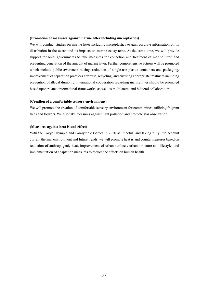#### **(Promotion of measures against marine litter including microplastics)**

We will conduct studies on marine litter including microplastics to gain accurate information on its distribution in the ocean and its impacts on marine ecosystems. At the same time, we will provide support for local governments to take measures for collection and treatment of marine litter, and preventing generation of the amount of marine litter. Further comprehensive actions will be promoted which include public awareness-raising, reduction of single-use plastic containers and packaging, improvement of separation practices after use, recycling, and ensuring appropriate treatment including prevention of illegal dumping. International cooperation regarding marine litter should be promoted based upon related international frameworks, as well as multilateral and bilateral collaboration.

### **(Creation of a comfortable sensory environment)**

We will promote the creation of comfortable sensory environment for communities, utilizing fragrant trees and flowers. We also take measures against light pollution and promote star observation.

#### **(Measures against heat island effect)**

With the Tokyo Olympic and Paralympic Games in 2020 as impetus, and taking fully into account current thermal environment and future trends, we will promote heat island countermeasures based on reduction of anthropogenic heat, improvement of urban surfaces, urban structure and lifestyle, and implementation of adaptation measures to reduce the effects on human health.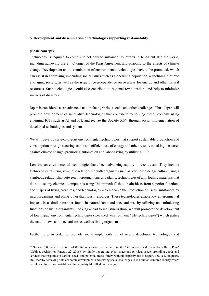### **5. Development and dissemination of technologies supporting sustainability**

#### **(Basic concept)**

-

Technology is required to contribute not only to sustainability efforts in Japan but also the world, including achieving the 2 ° C target of the Paris Agreement and adapting to the effects of climate change. Development and dissemination of environmental technologies have to be promoted, which can assist in addressing impending social issues such as a declining population, a declining birthrate and aging society, as well as the issue of overdependence on overseas for energy and other natural resources. Such technologies could also contribute to regional revitalization, and help to minimize impacts of disasters.

Japan is considered as an advanced nation facing various social and other challenges. Thus, Japan will promote development of innovative technologies that contribute to solving these problems using emerging ICTs such as AI and IoT, and realize the Society 5.0<sup>29</sup> through social implementation of developed technologies and systems.

We will develop state-of-the-art environmental technologies that support sustainable production and consumption through securing stable and efficient use of energy and other resources, taking measures against climate change, promoting automation and labor-saving by utilizing ICTs.

Low impact environmental technologies have been advancing rapidly in recent years. They include technologies utilizing symbiotic relationship with organisms such as low pesticide agriculture using a symbiotic relationship between microorganisms and plants, technologies of anti-fouling materials that do not use any chemical compounds using "biomimetics" that obtain ideas from superior functions and shapes of living creatures, and technologies which enable the production of useful substances by microorganisms and plants other than fossil resources. These technologies enable low environmental impacts in a similar manner found in natural laws and mechanisms, by utilizing and mimicking functions of living organisms. Looking ahead to industrialization, we will promote the development of low impact environmental technologies (so-called "environment / life technologies") which utilize the natural laws and mechanisms as well as living organisms.

Furthermore, in order to promote social implementation of newly developed technologies and

<sup>&</sup>lt;sup>29</sup> Society 5.0, which is a form of the future society that we aim for the "5th Science and Technology Basic Plan" (Cabinet decision on January 22, 2016), by highly integrating cyber space and physical space, providing goods and services that responds to various needs and potential needs finely, without disparity due to region, age, sex, language, etc., thereby achieving both economic development and solving social challenges. It is a human-centered society where people can live a comfortable and high quality life filled with energy.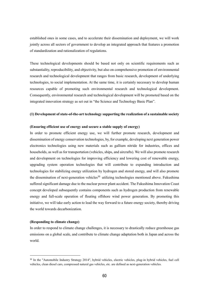established ones in some cases, and to accelerate their dissemination and deployment, we will work jointly across all sectors of government to develop an integrated approach that features a promotion of standardization and rationalization of regulations.

These technological developments should be based not only on scientific requirements such as substantiality, reproducibility, and objectivity, but also on comprehensive promotion of environmental research and technological development that ranges from basic research, development of underlying technologies, to social implementation. At the same time, it is certainly necessary to develop human resources capable of promoting such environmental research and technological development. Consequently, environmental research and technological development will be promoted based on the integrated innovation strategy as set out in "the Science and Technology Basic Plan".

## **(1) Development of state-of-the-art technology supporting the realization of a sustainable society**

## **(Ensuring efficient use of energy and secure a stable supply of energy)**

In order to promote efficient energy use, we will further promote research, development and dissemination of energy conservation technologies, by, for example, developing next generation power electronics technologies using new materials such as gallium nitride for industries, offices and households, as well as for transportation (vehicles, ships, and aircrafts). We will also promote research and development on technologies for improving efficiency and lowering cost of renewable energy, upgrading system operation technologies that will contribute to expanding introduction and technologies for stabilizing energy utilization by hydrogen and stored energy, and will also promote the dissemination of next-generation vehicles<sup>30</sup> utilizing technologies mentioned above. Fukushima suffered significant damage due to the nuclear power plant accident. The Fukushima Innovation Coast concept developed subsequently contains components such as hydrogen production from renewable energy and full-scale operation of floating offshore wind power generation. By promoting this initiative, we will take early action to lead the way forward to a future energy society, thereby driving the world towards decarbonization.

## **(Responding to climate change)**

-

In order to respond to climate change challenges, it is necessary to drastically reduce greenhouse gas emissions on a global scale, and contribute to climate change adaptation both in Japan and across the world.

<sup>&</sup>lt;sup>30</sup> In the "Automobile Industry Strategy 2014", hybrid vehicles, electric vehicles, plug-in hybrid vehicles, fuel cell vehicles, clean diesel cars, compressed natural gas vehicles, etc. are defined as next-generation vehicles.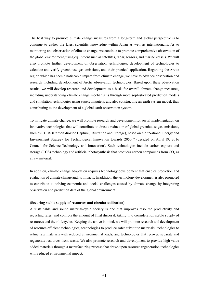The best way to promote climate change measures from a long-term and global perspective is to continue to gather the latest scientific knowledge within Japan as well as internationally. As to monitoring and observation of climate change, we continue to promote comprehensive observation of the global environment, using equipment such as satellites, radar, sensors, and marine vessels. We will also promote further development of observation technologies, development of technologies to calculate and verify greenhouse gas emissions, and their practical application. Regarding the Arctic region which has seen a noticeable impact from climate change, we have to advance observation and research including development of Arctic observation technologies. Based upon these observation results, we will develop research and development as a basis for overall climate change measures, including understanding climate change mechanisms through more sophisticated prediction models and simulation technologies using supercomputers, and also constructing an earth system model, thus contributing to the development of a global earth observation system.

To mitigate climate change, we will promote research and development for social implementation on innovative technologies that will contribute to drastic reduction of global greenhouse gas emissions, such as CCUS (Carbon dioxide Capture, Utilization and Storage), based on the "National Energy and Environment Strategy for Technological Innovation towards 2050 " (decided on April 19, 2016 Council for Science Technology and Innovation). Such technologies include carbon capture and storage (CCS) technology and artificial photosynthesis that produces carbon compounds from  $CO<sub>2</sub>$  as a raw material.

In addition, climate change adaptation requires technology development that enables prediction and evaluation of climate change and its impacts. In addition, the technology development is also promoted to contribute to solving economic and social challenges caused by climate change by integrating observation and prediction data of the global environment.

### **(Securing stable supply of resources and circular utilization)**

A sustainable and sound material-cycle society is one that improves resource productivity and recycling rates, and controls the amount of final disposal, taking into consideration stable supply of resources and their lifecycles. Keeping the above in mind, we will promote research and development of resource efficient technologies, technologies to produce safer substitute materials, technologies to refine raw materials with reduced environmental loads, and technologies that recover, separate and regenerate resources from waste. We also promote research and development to provide high value added materials through a manufacturing process that draws upon resource regeneration technologies with reduced environmental impact.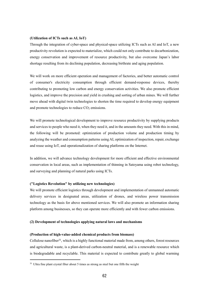## **(Utilization of ICTs such as AI, IoT)**

Through the integration of cyber-space and physical-space utilizing ICTs such as AI and IoT, a new productivity revolution is expected to materialize, which could not only contribute to decarbonization, energy conservation and improvement of resource productivity, but also overcome Japan's labor shortage resulting from its declining population, decreasing birthrate and aging population.

We will work on more efficient operation and management of factories, and better automatic control of consumer's electricity consumption through efficient demand-response devices, thereby contributing to promoting low carbon and energy conservation activities. We also promote efficient logistics, and improve the precision and yield in crushing and sorting of urban mines. We will further move ahead with digital twin technologies to shorten the time required to develop energy equipment and promote technologies to reduce  $CO<sub>2</sub>$  emissions.

We will promote technological development to improve resource productivity by supplying products and services to people who need it, when they need it, and in the amounts they need. With this in mind, the following will be promoted: optimization of production volume and production timing by analyzing the weather and consumption patterns using AI, optimization of inspection, repair, exchange and reuse using IoT, and operationalization of sharing platforms on the Internet.

In addition, we will advance technology development for more efficient and effective environmental conservation in local areas, such as implementation of thinning in Satoyama using robot technology, and surveying and planning of natural parks using ICTs.

## **("Logistics Revolution" by utilizing new technologies)**

We will promote efficient logistics through development and implementation of unmanned automatic delivery services in designated areas, utilization of drones, and wireless power transmission technology as the basis for above mentioned services. We will also promote an information sharing platform among businesses, so they can operate more efficiently and with fewer carbon emissions.

## **(2) Development of technologies applying natural laws and mechanisms**

#### **(Production of high-value-added chemical products from biomass)**

Cellulose nanofiber $3^1$ , which is a highly functional material made from, among others, forest resources and agricultural waste, is a plant-derived carbon-neutral material, and is a renewable resource which is biodegradable and recyclable. This material is expected to contribute greatly to global warming

-

 $31$  Ultra fine plant crystal fiber about 5 times as strong as steel but one fifth the weight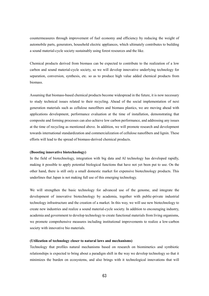countermeasures through improvement of fuel economy and efficiency by reducing the weight of automobile parts, generators, household electric appliances, which ultimately contributes to building a sound material-cycle society sustainably using forest resources and the like.

Chemical products derived from biomass can be expected to contribute to the realization of a low carbon and sound material-cycle society, so we will develop innovative underlying technology for separation, conversion, synthesis, etc. so as to produce high value added chemical products from biomass.

Assuming that biomass-based chemical products become widespread in the future, it is now necessary to study technical issues related to their recycling. Ahead of the social implementation of next generation materials such as cellulose nanofibers and biomass plastics, we are moving ahead with applications development, performance evaluation at the time of installation, demonstrating that composite and forming processes can also achieve low carbon performance, and addressing any issues at the time of recycling as mentioned above. In addition, we will promote research and development towards international standardization and commercialization of cellulose nanofibers and lignin. These efforts will lead to the spread of biomass-derived chemical products.

## **(Boosting innovative biotechnology)**

In the field of biotechnology, integration with big data and AI technology has developed rapidly, making it possible to apply potential biological functions that have not yet been put to use. On the other hand, there is still only a small domestic market for expensive biotechnology products. This underlines that Japan is not making full use of this emerging technology.

We will strengthen the basic technology for advanced use of the genome, and integrate the development of innovative biotechnology by academia, together with public-private industrial technology infrastructure and the creation of a market. In this way, we will use new biotechnology to create new industries and realize a sound material-cycle society. In addition to encouraging industry, academia and government to develop technology to create functional materials from living organisms, we promote comprehensive measures including institutional improvements to realize a low-carbon society with innovative bio materials.

## **(Utilization of technology closer to natural laws and mechanisms)**

Technology that profiles natural mechanisms based on research on biomimetics and symbiotic relationships is expected to bring about a paradigm shift in the way we develop technology so that it minimizes the burden on ecosystems, and also brings with it technological innovations that will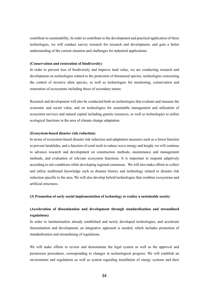contribute to sustainability. In order to contribute to the development and practical application of these technologies, we will conduct survey research for research and development, and gain a better understanding of the current situation and challenges for industrial applications.

## **(Conservation and restoration of biodiversity)**

In order to prevent loss of biodiversity and improve land value, we are conducting research and development on technologies related to the protection of threatened species, technologies concerning the control of invasive alien species, as well as technologies for monitoring, conservation and restoration of ecosystems including those of secondary nature.

Research and development will also be conducted both on technologies that evaluate and measure the economic and social value, and on technologies for sustainable management and utilization of ecosystem services and natural capital including genetic resources, as well as technologies to utilize ecological functions in the area of climate change adaptation.

## **(Ecosystem-based disaster risk reduction)**

In terms of ecosystem-based disaster risk reduction and adaptation measures such as a forest function to prevent landslides, and a function of coral reefs to reduce wave energy and height, we will continue to advance research and development on construction methods, maintenance and management methods, and evaluation of relevant ecosystem functions. It is important to respond adaptively according to site conditions while developing regional consensus. We will also make efforts to collect and utilize traditional knowledge such as disaster history and technology related to disaster risk reduction specific to the area. We will also develop hybrid technologies that combine ecosystems and artificial structures.

**(3) Promotion of early social implementation of technology to realize a sustainable society**

# **(Acceleration of dissemination and development through standardization and streamlined regulations)**

In order to institutionalize already established and newly developed technologies, and accelerate dissemination and development, an integrative approach is needed, which includes promotion of standardization and streamlining of regulations.

We will make efforts to review and demonstrate the legal system as well as the approval and permission procedures, corresponding to changes in technological progress. We will establish an environment and regulations as well as system regarding installation of energy systems and their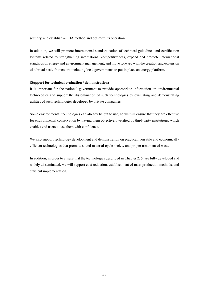security, and establish an EIA method and optimize its operation.

In addition, we will promote international standardization of technical guidelines and certification systems related to strengthening international competitiveness, expand and promote international standards on energy and environment management, and move forward with the creation and expansion of a broad-scale framework including local governments to put in place an energy platform.

## **(Support for technical evaluation / demonstration)**

It is important for the national government to provide appropriate information on environmental technologies and support the dissemination of such technologies by evaluating and demonstrating utilities of such technologies developed by private companies.

Some environmental technologies can already be put to use, so we will ensure that they are effective for environmental conservation by having them objectively verified by third-party institutions, which enables end users to use them with confidence.

We also support technology development and demonstration on practical, versatile and economically efficient technologies that promote sound material-cycle society and proper treatment of waste.

In addition, in order to ensure that the technologies described in Chapter 2, 5. are fully developed and widely disseminated, we will support cost reduction, establishment of mass production methods, and efficient implementation.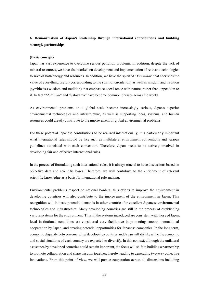# **6. Demonstration of Japan's leadership through international contributions and building strategic partnerships**

## **(Basic concept)**

Japan has vast experience to overcome serious pollution problems. In addition, despite the lack of mineral resources, we have also worked on development and implementation of relevant technologies to save of both energy and resources. In addition, we have the spirit of "*Mottainai*" that cherishes the value of everything useful (corresponding to the spirit of circulation) as well as wisdom and tradition (symbiosis's wisdom and tradition) that emphasize coexistence with nature, rather than opposition to it. In fact "*Mottainai*" and "Satoyama" have become common phrases across the world.

As environmental problems on a global scale become increasingly serious, Japan's superior environmental technologies and infrastructure, as well as supporting ideas, systems, and human resources could greatly contribute to the improvement of global environmental problems.

For these potential Japanese contributions to be realized internationally, it is particularly important what international rules should be like such as multilateral environment conventions and various guidelines associated with each convention. Therefore, Japan needs to be actively involved in developing fair and effective international rules.

In the process of formulating such international rules, it is always crucial to have discussions based on objective data and scientific bases. Therefore, we will contribute to the enrichment of relevant scientific knowledge as a basis for international rule-making.

Environmental problems respect no national borders, thus efforts to improve the environment in developing countries will also contribute to the improvement of the environment in Japan. This recognition will indicate potential demands in other countries for excellent Japanese environmental technologies and infrastructure. Many developing countries are still in the process of establishing various systems for the environment. Thus, if the systems introduced are consistent with those of Japan, local institutional conditions are considered very facilitative in promoting smooth international cooperation by Japan, and creating potential opportunities for Japanese companies. In the long term, economic disparity between emerging/ developing countries and Japan will shrink, while the economic and social situations of each country are expected to diversify. In this context, although the unilateral assistance by developed countries could remain important, the focus will shift to building a partnership to promote collaboration and share wisdom together, thereby leading to generating two-way collective innovations. From this point of view, we will pursue cooperation across all dimensions including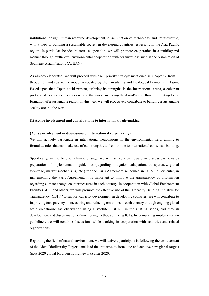institutional design, human resource development, dissemination of technology and infrastructure, with a view to building a sustainable society in developing countries, especially in the Asia-Pacific region. In particular, besides bilateral cooperation, we will promote cooperation in a multilayered manner through multi-level environmental cooperation with organizations such as the Association of Southeast Asian Nations (ASEAN).

As already elaborated, we will proceed with each priority strategy mentioned in Chapter 2 from 1. through 5., and realize the model advocated by the Circulating and Ecological Economy in Japan. Based upon that, Japan could present, utilizing its strengths in the international arena, a coherent package of its successful experiences to the world, including the Asia-Pacific, thus contributing to the formation of a sustainable region. In this way, we will proactively contribute to building a sustainable society around the world.

#### **(1) Active involvement and contributions to international rule-making**

## **(Active involvement in discussions of international rule-making)**

We will actively participate in international negotiations in the environmental field, aiming to formulate rules that can make use of our strengths, and contribute to international consensus building.

Specifically, in the field of climate change, we will actively participate in discussions towards preparation of implementation guidelines (regarding mitigation, adaptation, transparency, global stocktake, market mechanisms, etc.) for the Paris Agreement scheduled in 2018. In particular, in implementing the Paris Agreement, it is important to improve the transparency of information regarding climate change countermeasures in each country. In cooperation with Global Environment Facility (GEF) and others, we will promote the effective use of the "Capacity Building Initiative for Transparency (CBIT)" to support capacity development in developing countries. We will contribute to improving transparency on measuring and reducing emissions in each country through ongoing global scale greenhouse gas observation using a satellite "IBUKI" in the GOSAT series, and through development and dissemination of monitoring methods utilizing ICTs. In formulating implementation guidelines, we will continue discussions while working in cooperation with countries and related organizations.

Regarding the field of natural environment, we will actively participate in following the achievement of the Aichi Biodiversity Targets, and lead the initiative to formulate and achieve new global targets (post-2020 global biodiversity framework) after 2020.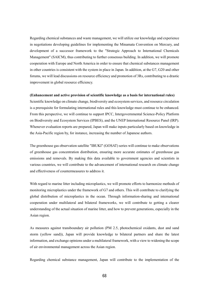Regarding chemical substances and waste management, we will utilize our knowledge and experience in negotiations developing guidelines for implementing the Minamata Convention on Mercury, and development of a successor framework to the "Strategic Approach to International Chemicals Management" (SAICM), thus contributing to further consensus building. In addition, we will promote cooperation with Europe and North America in order to ensure that chemical substances management in other countries is consistent with the system in place in Japan. In addition, at the G7, G20 and other forums, we will lead discussions on resource efficiency and promotion of 3Rs, contributing to a drastic improvement in global resource efficiency.

#### **(Enhancement and active provision of scientific knowledge as a basis for international rules)**

Scientific knowledge on climate change, biodiversity and ecosystem services, and resource circulation is a prerequisite for formulating international rules and this knowledge must continue to be enhanced. From this perspective, we will continue to support IPCC, Intergovernmental Science-Policy Platform on Biodiversity and Ecosystem Services (IPBES), and the UNEP International Resource Panel (IRP). Whenever evaluation reports are prepared, Japan will make inputs particularly based on knowledge in the Asia-Pacific region by, for instance, increasing the number of Japanese authors.

The greenhouse gas observation satellite "IBUKI" (GOSAT) series will continue to make observations of greenhouse gas concentration distribution, ensuring more accurate estimates of greenhouse gas emissions and removals. By making this data available to government agencies and scientists in various countries, we will contribute to the advancement of international research on climate change and effectiveness of countermeasures to address it.

With regard to marine litter including microplastics, we will promote efforts to harmonize methods of monitoring microplastics under the framework of G7 and others. This will contribute to clarifying the global distribution of microplastics in the ocean. Through information-sharing and international cooperation under multilateral and bilateral frameworks, we will contribute to getting a clearer understanding of the actual situation of marine litter, and how to prevent generations, especially in the Asian region.

As measures against transboundary air pollution (PM 2.5, photochemical oxidants, dust and sand storm (yellow sand)), Japan will provide knowledge to bilateral partners and share the latest information, and exchange opinions under a multilateral framework, with a view to widening the scope of air environmental management across the Asian region.

Regarding chemical substance management, Japan will contribute to the implementation of the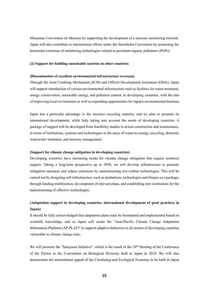Minamata Convention on Mercury by supporting the development of a mercury monitoring network. Japan will also contribute to international efforts under the Stockholm Convention by promoting the horizontal extension of monitoring technologies related to persistent organic pollutants (POPs).

### **(2) Support for building sustainable societies in other countries**

## **(Dissemination of excellent environmental infrastructure overseas)**

Through the Joint Crediting Mechanism (JCM) and Official Development Assistance (ODA), Japan will support introduction of various environmental infrastructure such as facilities for waste treatment, energy conservation, renewable energy, and pollution control, in developing countries, with the aim of improving local environment as well as expanding opportunities for Japan's environmental business.

Japan has a particular advantage in the resource recycling industry, and we plan to promote its international development, while fully taking into account the needs of developing countries. A package of support will be developed from feasibility studies to actual construction and maintenance, in terms of institutions, systems and technologies in the areas of waste-to-energy, recycling, domestic wastewater treatment, and mercury management.

## **(Support for climate change mitigation in developing countries)**

Developing countries have increasing needs for climate change mitigation that require technical support. Taking a long-term perspective up to 2050, we will develop infrastructure to promote mitigation measures and reduce emissions by mainstreaming low-carbon technologies. This will be carried out by designing soft infrastructure, such as institutions, technologies and finance as a package, through funding mobilization, development of relevant plans, and establishing new institutions for the mainstreaming of effective technologies.

# **(Adaptation support in developing countries, international development of good practices in Japan)**

It should be fully acknowledged that adaptation plans must be formulated and implemented based on scientific knowledge, and so Japan will create the "Asia-Pacific Climate Change Adaptation Information Platform (AP-PLAT)" to support adaptive behaviors in all sectors of developing countries vulnerable to climate change risks.

We will promote the "Satoyama Initiative", which is the result of the  $10<sup>th</sup>$  Meeting of the Conference of the Parties to the Convention on Biological Diversity held in Japan in 2010. We will also demonstrate the international appeal of the Circulating and Ecological Economy to be built in Japan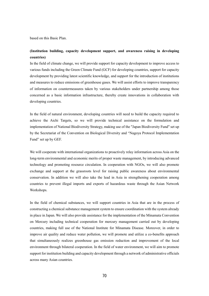based on this Basic Plan.

# **(Institution building, capacity development support, and awareness raising in developing countries)**

In the field of climate change, we will provide support for capacity development to improve access to various funds including the Green Climate Fund (GCF) for developing countries, support for capacity development by providing latest scientific knowledge, and support for the introduction of institutions and measures to reduce emissions of greenhouse gases. We will assist efforts to improve transparency of information on countermeasures taken by various stakeholders under partnership among those concerned as a basic information infrastructure, thereby create innovations in collaboration with developing countries.

In the field of natural environment, developing countries will need to build the capacity required to achieve the Aichi Targets, so we will provide technical assistance on the formulation and implementation of National Biodiversity Strategy, making use of the "Japan Biodiversity Fund" set up by the Secretariat of the Convention on Biological Diversity and "Nagoya Protocol Implementation Fund" set up by GEF.

We will cooperate with international organizations to proactively relay information across Asia on the long-term environmental and economic merits of proper waste management, by introducing advanced technology and promoting resource circulation. In cooperation with NGOs, we will also promote exchange and support at the grassroots level for raising public awareness about environmental conservation. In addition we will also take the lead in Asia in strengthening cooperation among countries to prevent illegal imports and exports of hazardous waste through the Asian Network Workshops.

In the field of chemical substances, we will support countries in Asia that are in the process of constructing a chemical substance management system to ensure coordination with the system already in place in Japan. We will also provide assistance for the implementation of the Minamata Convention on Mercury including technical cooperation for mercury management carried out by developing countries, making full use of the National Institute for Minamata Disease. Moreover, in order to improve air quality and reduce water pollution, we will promote and utilize a co-benefits approach that simultaneously realizes greenhouse gas emission reduction and improvement of the local environment through bilateral cooperation. In the field of water environment, we will aim to promote support for institution building and capacity development through a network of administrative officials across many Asian countries.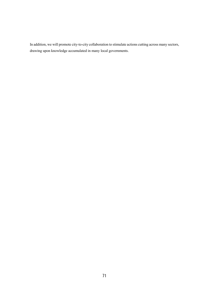In addition, we will promote city-to-city collaboration to stimulate actions cutting across many sectors, drawing upon knowledge accumulated in many local governments.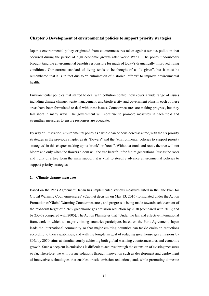## **Chapter 3 Development of environmental policies to support priority strategies**

Japan's environmental policy originated from countermeasures taken against serious pollution that occurred during the period of high economic growth after World War II. The policy undoubtedly brought tangible environmental benefits responsible for much of today's dramatically improved living conditions. Our current standard of living tends to be thought of as "a given", but it must be remembered that it is in fact due to "a culmination of historical efforts" to improve environmental health.

Environmental policies that started to deal with pollution control now cover a wide range of issues including climate change, waste management, and biodiversity, and government plans in each of these areas have been formulated to deal with these issues. Countermeasures are making progress, but they fall short in many ways. The government will continue to promote measures in each field and strengthen measures to ensure responses are adequate.

By way of illustration, environmental policy as a whole can be considered as a tree, with the six priority strategies in the previous chapter as its "flowers" and the "environmental policies to support priority strategies" in this chapter making up its "trunk" or "roots". Without a trunk and roots, the tree will not bloom and only when the flowers bloom will the tree bear fruit for future generations. Just as the roots and trunk of a tree form the main support, it is vital to steadily advance environmental policies to support priority strategies.

### **1. Climate change measures**

Based on the Paris Agreement, Japan has implemented various measures listed in the "the Plan for Global Warming Countermeasures" (Cabinet decision on May 13, 2016) formulated under the Act on Promotion of Global Warming Countermeasures, and progress is being made towards achievement of the mid-term target of a 26% greenhouse gas emission reduction by 2030 (compared with 2013; and by 25.4% compared with 2005). The Action Plan states that "Under the fair and effective international framework in which all major emitting countries participate, based on the Paris Agreement, Japan leads the international community so that major emitting countries can tackle emission reductions according to their capabilities, and with the long-term goal of reducing greenhouse gas emissions by 80% by 2050, aims at simultaneously achieving both global warming countermeasures and economic growth. Such a deep cut in emissions is difficult to achieve through the extension of existing measures so far. Therefore, we will pursue solutions through innovation such as development and deployment of innovative technologies that enables drastic emission reductions, and, while promoting domestic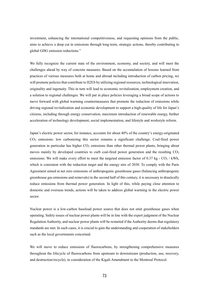investment, enhancing the international competitiveness, and requesting opinions from the public, aims to achieve a deep cut in emissions through long-term, strategic actions, thereby contributing to global GHG emission reductions."

We fully recognize the current state of the environment, economy, and society, and will meet the challenges ahead by way of concrete measures. Based on the accumulation of lessons learned from practices of various measures both at home and abroad including introduction of carbon pricing, we will promote policies that contribute to II2ES by utilizing regional resources, technological innovation, originality and ingenuity. This in turn will lead to economic revitalization, employment creation, and a solution to regional challenges. We will put in place policies leveraging a broad scope of actions to move forward with global warming countermeasures that promote the reduction of emissions while driving regional revitalization and economic development to support a high-quality of life for Japan's citizens, including through energy conservation, maximum introduction of renewable energy, further acceleration of technology development, social implementation, and lifestyle and workstyle reform.

Japan's electric power sector, for instance, accounts for about 40% of the country's energy-originated CO<sup>2</sup> emissions: low carbonizing this sector remains a significant challenge. Coal-fired power generation in particular has higher  $CO<sub>2</sub>$  emissions than other thermal power plants, bringing about moves mainly by developed countries to curb coal-fired power generation and the resulting  $CO<sub>2</sub>$ emissions. We will make every effort to meet the targeted emission factor of 0.37 kg -  $CO<sub>2</sub>$  / kWh, which is consistent with the reduction target and the energy mix of 2030. To comply with the Paris Agreement aimed at net zero emissions of anthropogenic greenhouse gases (balancing anthropogenic greenhouse gas emissions and removals) in the second half of this century, it is necessary to drastically reduce emissions from thermal power generation. In light of this, while paying close attention to domestic and overseas trends, actions will be taken to address global warming in the electric power sector.

Nuclear power is a low-carbon baseload power source that does not emit greenhouse gases when operating. Safety issues of nuclear power plants will be in line with the expert judgment of the Nuclear Regulation Authority, and nuclear power plants will be restarted if the Authority deems that regulatory standards are met. In such cases, it is crucial to gain the understanding and cooperation of stakeholders such as the local governments concerned.

We will move to reduce emissions of fluorocarbons, by strengthening comprehensive measures throughout the lifecycle of fluorocarbons from upstream to downstream (production, use, recovery, and destruction/recycle), in consideration of the Kigali Amendment to the Montreal Protocol.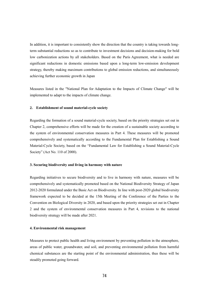In addition, it is important to consistently show the direction that the country is taking towards longterm substantial reductions so as to contribute to investment decisions and decision-making for bold low carbonization actions by all stakeholders. Based on the Paris Agreement, what is needed are significant reductions in domestic emissions based upon a long-term low-emission development strategy, thereby making maximum contributions to global emission reductions, and simultaneously achieving further economic growth in Japan

Measures listed in the "National Plan for Adaptation to the Impacts of Climate Change" will be implemented to adapt to the impacts of climate change.

### **2. Establishment of sound material-cycle society**

Regarding the formation of a sound material-cycle society, based on the priority strategies set out in Chapter 2, comprehensive efforts will be made for the creation of a sustainable society according to the system of environmental conservation measures in Part 4. These measures will be promoted comprehensively and systematically according to the Fundamental Plan for Establishing a Sound Material-Cycle Society, based on the "Fundamental Law for Establishing a Sound Material-Cycle Society" (Act No. 110 of 2000).

### **3. Securing biodiversity and living in harmony with nature**

Regarding initiatives to secure biodiversity and to live in harmony with nature, measures will be comprehensively and systematically promoted based on the National Biodiversity Strategy of Japan 2012-2020 formulated under the Basic Act on Biodiversity. In line with post-2020 global biodiversity framework expected to be decided at the 15th Meeting of the Conference of the Parties to the Convention on Biological Diversity in 2020, and based upon the priority strategies set out in Chapter 2 and the system of environmental conservation measures in Part 4, revisions to the national biodiversity strategy will be made after 2021.

### **4. Environmental risk management**

Measures to protect public health and living environment by preventing pollution in the atmosphere, areas of public water, groundwater, and soil, and preventing environmental pollution from harmful chemical substances are the starting point of the environmental administration, thus these will be steadily promoted going forward.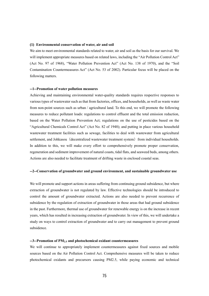### **(1) Environmental conservation of water, air and soil**

We aim to meet environmental standards related to water, air and soil as the basis for our survival. We will implement appropriate measures based on related laws, including the "Air Pollution Control Act" (Act No. 97 of 1968), "Water Pollution Prevention Act" (Act No. 138 of 1970), and the "Soil Contamination Countermeasures Act" (Act No. 53 of 2002). Particular focus will be placed on the following matters.

### **--1--Promotion of water pollution measures**

Achieving and maintaining environmental water-quality standards requires respective responses to various types of wastewater such as that from factories, offices, and households, as well as waste water from non-point sources such as urban / agricultural land. To this end, we will promote the following measures to reduce pollutant loads: regulations to control effluent and the total emission reduction, based on the Water Pollution Prevention Act; regulations on the use of pesticides based on the "Agricultural Chemicals Control Act" (Act No. 82 of 1948); and putting in place various household wastewater treatment facilities such as sewage, facilities to deal with wastewater from agricultural settlement, and Johkasou (decentralized wastewater treatment system) from individual households. In addition to this, we will make every effort to comprehensively promote proper conservation, regeneration and sediment improvement of natural coasts, tidal flats, and seaweed beds, among others. Actions are also needed to facilitate treatment of drifting waste in enclosed coastal seas.

### **--2--Conservation of groundwater and ground environment, and sustainable groundwater use**

We will promote and support actions in areas suffering from continuing ground subsidence, but where extraction of groundwater is not regulated by law. Effective technologies should be introduced to control the amount of groundwater extracted. Actions are also needed to prevent recurrence of subsidence by the regulation of extraction of groundwater in those areas that had ground subsidence in the past. Furthermore, thermal use of groundwater for renewable energy is on the increase in recent years, which has resulted in increasing extraction of groundwater. In view of this, we will undertake a study on ways to control extraction of groundwater and to carry out management to prevent ground subsidence.

### **--3--Promotion of PM2.5 and photochemical oxidant countermeasures**

We will continue to appropriately implement countermeasures against fixed sources and mobile sources based on the Air Pollution Control Act. Comprehensive measures will be taken to reduce photochemical oxidants and precursors causing PM2.5, while paying economic and technical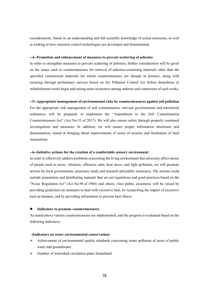considerations, based on an understanding and full scientific knowledge of actual emissions, as well as looking at how emission control technologies are developed and disseminated.

### **--4--Promotion and enhancement of measures to prevent scattering of asbestos**

In order to strengthen measures to prevent scattering of asbestos, further consideration will be given on the issues such as countermeasures for removal of asbestos-containing materials other than the specified construction materials for which countermeasures are already in practice, along with ensuring through preliminary surveys based on Air Pollution Control Act before demolition or refurbishment works begin and raising more awareness among orderers and contractors of such works.

#### **--5--Appropriate management of environmental risks by countermeasures against soil pollution**

For the appropriate risk management of soil contamination, relevant governmental and ministerial ordinances will be prepared, to implement the "Amendment to the Soil Contamination Countermeasures Act" (Act No.33 of 2017). We will also ensure safety through properly continued investigations and measures. In addition, we will ensure proper information disclosure and dissemination, aimed at bringing about improvements of sense of security and facilitation of land transactions.

### **--6--Initiative actions for the creation of a comfortable sensory environment**

In order to effectively address problems concerning the living environment that adversely affect senses of people such as noise, vibration, offensive odor, heat stress, and light pollution, we will promote actions by local governments, necessary study and research and public awareness. The actions could include preparation and distributing manuals that set out regulations and good practices based on the ["Noise Regulation](https://ejje.weblio.jp/content/Noise+Regulation) [Act"](https://ejje.weblio.jp/content/Act) [\(Act](https://ejje.weblio.jp/content/Act) [No.98](https://ejje.weblio.jp/content/No.) [of](https://ejje.weblio.jp/content/of) 1968) and others. Also public awareness will be raised by providing guidelines on measures to deal with excessive heat, by researching the impact of excessive heat on humans, and by providing information to prevent heat illness.

### **Indicators to promote countermeasures**

As stated above various countermeasures are implemented, and the progress is evaluated based on the following indicators:

### **(Indicators on water environmental conservation)**

- $\triangleright$  Achievement of environmental quality standards concerning water pollution of areas of public water and groundwater
- $\triangleright$  Number of watershed circulation plans formulated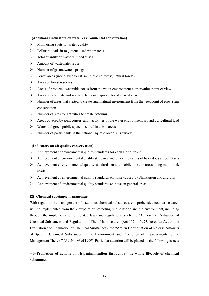### **(Additional indicators on water environmental conservation)**

- $\triangleright$  Monitoring spots for water quality
- $\triangleright$  Pollutant loads in major enclosed water areas
- $\triangleright$  Total quantity of waste dumped at sea
- $\triangleright$  Amount of wastewater reuse
- $\triangleright$  Number of groundwater springs
- $\triangleright$  Forest areas (monolayer forest, multilayered forest, natural forest)
- $\triangleright$  Areas of forest reserves
- $\triangleright$  Areas of protected waterside zones from the water environment conservation point of view
- $\triangleright$  Areas of tidal flats and seaweed beds in major enclosed coastal seas
- $\triangleright$  Number of areas that started to create rural natural environment from the viewpoint of ecosystem conservation
- $\triangleright$  Number of sites for activities to create Satoumi
- $\triangleright$  Areas covered by joint conservation activities of the water environment around agricultural land
- $\triangleright$  Water and green public spaces secured in urban areas
- $\triangleright$  Number of participants in the national aquatic organisms survey

### **(Indicators on air quality conservation)**

- $\triangleright$  Achievement of environmental quality standards for each air pollutant
- $\triangleright$  Achievement of environmental quality standards and guideline values of hazardous air pollutants
- $\triangleright$  Achievement of environmental quality standards on automobile noise in areas along main trunk roads
- $\triangleright$  Achievement of environmental quality standards on noise caused by Shinkansen and aircrafts
- $\triangleright$  Achievement of environmental quality standards on noise in general areas

## **(2) Chemical substance management**

With regard to the management of hazardous chemical substances, comprehensive countermeasures will be implemented from the viewpoint of protecting public health and the environment, including through the implementation of related laws and regulations, such the "Act on the Evaluation of Chemical Substances and Regulation of Their Manufacture" (Act 117 of 1973, hereafter Act on the Evaluation and Regulation of Chemical Substances), the "Act on Confirmation of Release Amounts of Specific Chemical Substances in the Environment and Promotion of Improvements to the Management Thereof" (Act No.86 of 1999). Particular attention will be placed on the following issues:

# **--1--Promotion of actions on risk minimization throughout the whole lifecycle of chemical substances**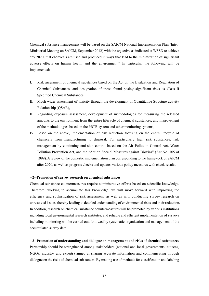Chemical substance management will be based on the SAICM National Implementation Plan (Inter-Ministerial Meeting on SAICM, September 2012) with the objective as indicated at WSSD to achieve "by 2020, that chemicals are used and produced in ways that lead to the minimization of significant adverse effects on human health and the environment." In particular, the following will be implemented:

- I. Risk assessment of chemical substances based on the Act on the Evaluation and Regulation of Chemical Substances, and designation of those found posing significant risks as Class II Specified Chemical Substances,
- II. Much wider assessment of toxicity through the development of Quantitative Structure-activity Relationship (QSAR),
- III. Regarding exposure assessment, development of methodologies for measuring the released amounts to the environment from the entire lifecycle of chemical substances, and improvement of the methodologies based on the PRTR system and other monitoring systems,
- IV. Based on the above, implementation of risk reduction focusing on the entire lifecycle of chemicals from manufacturing to disposal. For particularly high risk substances, risk management by continuing emission control based on the Air Pollution Control Act, Water Pollution Prevention Act, and the "Act on Special Measures against Dioxins" (Act No. 105 of 1999). A review of the domestic implementation plan corresponding to the framework of SAICM after 2020, as well as progress checks and updates various policy measures with check results.

### **--2--Promotion of survey research on chemical substances**

Chemical substance countermeasures require administrative efforts based on scientific knowledge. Therefore, working to accumulate this knowledge, we will move forward with improving the efficiency and sophistication of risk assessment, as well as with conducting survey research on unresolved issues, thereby leading to detailed understanding of environmental risks and their reduction. In addition, research on chemical substance countermeasures will be promoted by various institutions including local environmental research institutes, and reliable and efficient implementation of surveys including monitoring will be carried out, followed by systematic organization and management of the accumulated survey data.

**--3--Promotion of understanding and dialogue on management and risks of chemical substances** Partnership should be strengthened among stakeholders (national and local governments, citizens, NGOs, industry, and experts) aimed at sharing accurate information and communicating through dialogue on the risks of chemical substances. By making use of methods for classification and labeling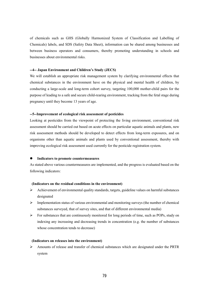of chemicals such as GHS (Globally Harmonized System of Classification and Labelling of Chemicals) labels, and SDS (Safety Data Sheet), information can be shared among businesses and between business operators and consumers, thereby promoting understanding in schools and businesses about environmental risks.

### **--4-- Japan Environment and Children's Study (JECS)**

We will establish an appropriate risk management system by clarifying environmental effects that chemical substances in the environment have on the physical and mental health of children, by conducting a large-scale and long-term cohort survey, targeting 100,000 mother-child pairs for the purpose of leading to a safe and secure child-rearing environment, tracking from the fetal stage during pregnancy until they become 13 years of age.

### **--5--Improvement of ecological risk assessment of pesticides**

Looking at pesticides from the viewpoint of protecting the living environment, conventional risk assessment should be carried out based on acute effects on particular aquatic animals and plants, new risk assessment methods should be developed to detect effects from long-term exposures, and on organisms other than aquatic animals and plants used by conventional assessment, thereby with improving ecological risk assessment used currently for the pesticide registration system.

#### **Indicators to promote countermeasures**

As stated above various countermeasures are implemented, and the progress is evaluated based on the following indicators:

### **(Indicators on the residual conditions in the environment)**

- $\triangleright$  Achievement of environmental quality standards, targets, guideline values on harmful substances designated
- $\triangleright$  Implementation status of various environmental and monitoring surveys (the number of chemical substances surveyed, that of survey sites, and that of different environmental media)
- $\triangleright$  For substances that are continuously monitored for long periods of time, such as POPs, study on indexing any increasing and decreasing trends in concentration (e.g. the number of substances whose concentration tends to decrease)

### **(Indicators on releases into the environment)**

 Amounts of release and transfer of chemical substances which are designated under the PRTR system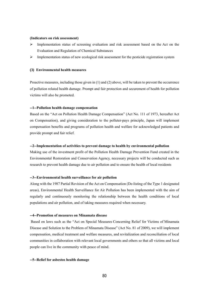#### **(Indicators on risk assessment)**

- $\triangleright$  Implementation status of screening evaluation and risk assessment based on the Act on the Evaluation and Regulation of Chemical Substances
- $\triangleright$  Implementation status of new ecological risk assessment for the pesticide registration system

### **(3) Environmental health measures**

Proactive measures, including those given in (1) and (2) above, will be taken to prevent the occurrence of pollution related health damage. Prompt and fair protection and securement of health for pollution victims will also be promoted.

### **--1--Pollution health damage compensation**

Based on the "Act on Pollution Health Damage Compensation" (Act No. 111 of 1973, hereafter Act on Compensation), and giving consideration to the polluter-pays principle, Japan will implement compensation benefits and programs of pollution health and welfare for acknowledged patients and provide prompt and fair relief.

### **--2--Implementation of activities to prevent damage to health by environmental pollution**

Making use of the investment profit of the Pollution Health Damage Prevention Fund created in the Environmental Restoration and Conservation Agency, necessary projects will be conducted such as research to prevent health damage due to air pollution and to ensure the health of local residents

### **--3--Environmental health surveillance for air pollution**

Along with the 1987 Partial Revision of the Act on Compensation (De-listing of the Type 1 designated areas), Environmental Health Surveillance for Air Pollution has been implemented with the aim of regularly and continuously monitoring the relationship between the health conditions of local populations and air pollution, and of taking measures required when necessary.

### **--4--Promotion of measures on Minamata disease**

Based on laws such as the "Act on Special Measures Concerning Relief for Victims of Minamata Disease and Solution to the Problem of Minamata Disease" (Act No. 81 of 2009), we will implement compensation, medical treatment and welfare measures, and revitalization and reconciliation of local communities in collaboration with relevant local governments and others so that all victims and local people can live in the community with peace of mind.

### **--5--Relief for asbestos health damage**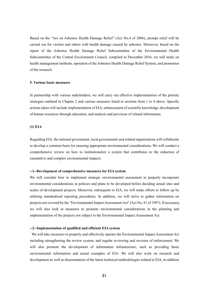Based on the "Act on Asbestos Health Damage Relief" (Act No.4 of 2006), prompt relief will be carried out for victims and others with health damage caused by asbestos. Moreover, based on the report of the Asbestos Health Damage Relief Subcommittee of the Environmental Health Subcommittee of the Central Environment Council, compiled in December 2016, we will study on health management methods, operation of the Asbestos Health Damage Relief System, and promotion of the research.

### **5. Various basic measures**

In partnership with various stakeholders, we will carry out effective implementation of the priority strategies outlined in Chapter 2 and various measures listed in sections from 1 to 4 above. Specific actions taken will include implementation of EIA, enhancement of scientific knowledge, development of human resources through education, and analysis and provision of related information.

### **(1) EIA**

Regarding EIA, the national government, local governments and related organizations will collaborate to develop a common basis for ensuring appropriate environmental considerations. We will conduct a comprehensive review on how to institutionalize a system that contributes to the reduction of cumulative and complex environmental impacts.

### **--1--Development of comprehensive measures for EIA system**

We will consider how to implement strategic environmental assessment to properly incorporate environmental considerations in policies and plans to be developed before deciding actual sites and scales of development projects. Moreover, subsequent to EIA, we will make efforts to follow up by utilizing standardized reporting procedures. In addition, we will strive to gather information on projects not covered by the "Environmental Impact Assessment Act" (Act No. 81 of 1997). If necessary, we will also look at measures to promote environmental considerations in the planning and implementation of the projects not subject to the Environmental Impact Assessment Act.

### **--2--Implementation of qualified and efficient EIA system**

We will take measures to properly and effectively operate the Environmental Impact Assessment Act including strengthening the review system, and regular reviewing and revision of enforcement. We will also promote the development of information infrastructure, such as providing basic environmental information and actual examples of EIA. We will also work on research and development as well as dissemination of the latest technical methodologies related to EIA, in addition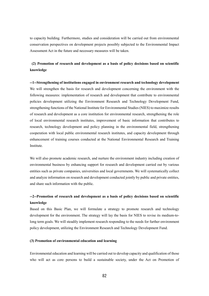to capacity building. Furthermore, studies and consideration will be carried out from environmental conservation perspectives on development projects possibly subjected to the Environmental Impact Assessment Act in the future and necessary measures will be taken.

# **(2) Promotion of research and development as a basis of policy decisions based on scientific knowledge**

**--1--Strengthening of institutions engaged in environment research and technology development** We will strengthen the basis for research and development concerning the environment with the following measures: implementation of research and development that contribute to environmental policies development utilizing the Environment Research and Technology Development Fund, strengthening functions of the National Institute for Environmental Studies (NIES) to maximize results of research and development as a core institution for environmental research, strengthening the role of local environmental research institutes, improvement of basic information that contributes to research, technology development and policy planning in the environmental field, strengthening cooperation with local public environmental research institutes, and capacity development through enhancement of training courses conducted at the National Environmental Research and Training Institute.

We will also promote academic research, and nurture the environment industry including creation of environmental business by enhancing support for research and development carried out by various entities such as private companies, universities and local governments. We will systematically collect and analyze information on research and development conducted jointly by public and private entities, and share such information with the public.

# **--2--Promotion of research and development as a basis of policy decisions based on scientific knowledge**

Based on this Basic Plan, we will formulate a strategy to promote research and technology development for the environment. The strategy will lay the basis for NIES to revise its medium-tolong term goals. We will steadily implement research responding to the needs for further environment policy development, utilizing the Environment Research and Technology Development Fund.

### **(3) Promotion of environmental education and learning**

Environmental education and learning will be carried out to develop capacity and qualification of those who will act as core persons to build a sustainable society, under the Act on Promotion of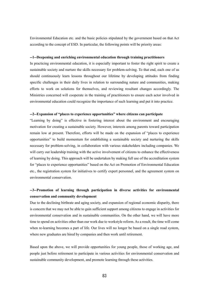Environmental Education etc. and the basic policies stipulated by the government based on that Act according to the concept of ESD. In particular, the following points will be priority areas:

### **--1--Deepening and enriching environmental education through training practitioners**

In practicing environmental education, it is especially important to foster the right spirit to create a sustainable society and nurture the skills necessary for problem-solving. To that end, each one of us should continuously learn lessons throughout our lifetime by developing attitudes from finding specific challenges in their daily lives in relation to surrounding nature and communities, making efforts to work on solutions for themselves, and reviewing resultant changes accordingly. The Ministries concerned will cooperate in the training of practitioners to ensure each actor involved in environmental education could recognize the importance of such learning and put it into practice.

### **--2--Expansion of "places to experience opportunities" where citizens can participate**

"Learning by doing" is effective in fostering interest about the environment and encouraging motivation for creating a sustainable society. However, interests among parents toward participation remain low at present. Therefore, efforts will be made on the expansion of "places to experience opportunities" to build momentum for establishing a sustainable society and nurturing the skills necessary for problem-solving, in collaboration with various stakeholders including companies. We will carry out leadership training with the active involvement of citizens to enhance the effectiveness of learning by doing. This approach will be undertaken by making full use of the accreditation system for "places to experience opportunities" based on the Act on Promotion of Environmental Education etc., the registration system for initiatives to certify expert personnel, and the agreement system on environmental conservation.

# **--3--Promotion of learning through participation in diverse activities for environmental conservation and community development**

Due to the declining birthrate and aging society, and expansion of regional economic disparity, there is concern that we may not be able to gain sufficient support among citizens to engage in activities for environmental conservation and in sustainable communities. On the other hand, we will have more time to spend on activities other than our work due to workstyle reform. As a result, the time will come when re-learning becomes a part of life. Our lives will no longer be based on a single road system, where new graduates are hired by companies and then work until retirement.

Based upon the above, we will provide opportunities for young people, those of working age, and people just before retirement to participate in various activities for environmental conservation and sustainable community development, and promote learning through these activities.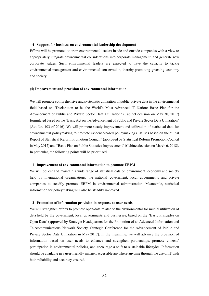### **--4--Support for business on environmental leadership development**

Efforts will be promoted to train environmental leaders inside and outside companies with a view to appropriately integrate environmental considerations into corporate management, and generate new corporate values. Such environmental leaders are expected to have the capacity to tackle environmental management and environmental conservation, thereby promoting greening economy and society.

### **(4) Improvement and provision of environmental information**

We will promote comprehensive and systematic utilization of public-private data in the environmental field based on "Declaration to be the World's Most Advanced IT Nation: Basic Plan for the Advancement of Public and Private Sector Data Utilization" (Cabinet decision on May 30, 2017) formulated based on the "Basic Act on the Advancement of Public and Private Sector Data Utilization" (Act No. 103 of 2016). We will promote steady improvement and utilization of statistical data for environmental policymaking to promote evidence-based policymaking (EBPM) based on the "Final Report of Statistical Reform Promotion Council" (approved by Statistical Reform Promotion Council in May 2017) and "Basic Plan on Public Statistics Improvement" (Cabinet decision on March 6, 2018). In particular, the following points will be prioritized.

### **--1--Improvement of environmental information to promote EBPM**

We will collect and maintain a wide range of statistical data on environment, economy and society held by international organizations, the national government, local governments and private companies to steadily promote EBPM in environmental administration. Meanwhile, statistical information for policymaking will also be steadily improved.

### **--2--Promotion of information provision in response to user needs**

We will strengthen efforts to promote open-data related to the environmental for mutual utilization of data held by the government, local governments and businesses, based on the "Basic Principles on Open Data" (approved by Strategic Headquarters for the Promotion of an Advanced Information and Telecommunications Network Society, Strategic Conference for the Advancement of Public and Private Sector Data Utilization in May 2017). In the meantime, we will advance the provision of information based on user needs to enhance and strengthen partnerships, promote citizens' participation in environmental policies, and encourage a shift to sustainable lifestyles. Information should be available in a user-friendly manner, accessible anywhere anytime through the use of IT with both reliability and accuracy ensured.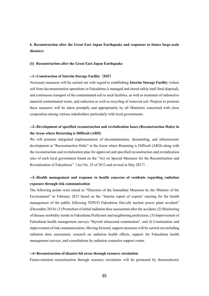# **6. Reconstruction after the Great East Japan Earthquake and responses to future large-scale disasters**

### **(1) Reconstruction after the Great East Japan Earthquake**

### **--1--Construction of Interim Storage Facility**(**ISF**)

Necessary measures will be carried out with regard to establishing **Interim Storage Facility** (where soil from decontamination operations in Fukushima is managed and stored safely until final disposal), and continuous transport of the contaminated soil to such facilities, as well as treatment of radioactive material contaminated waste, and reduction as well as recycling of removed soil. Projects to promote these measures will be taken promptly and appropriately by all Ministries concerned with close cooperation among various stakeholders particularly with local governments.

# **--2--Development of specified reconstruction and revitalization bases (Reconstruction Hubs) in the Areas where Returning is Difficult (ARD)**

We will promote integrated implementation of decontamination, dismantling, and infrastructure development at "Reconstruction Hubs" in the Areas where Returning is Difficult (ARD) along with the reconstruction and revitalization plan for approved and specified reconstruction and revitalization sites of each local government based on the "Act on Special Measures for the Reconstruction and Revitalization of Fukushima"(Act No. 25 of 2012 and revised in May 2017).

# **--3--Health management and response to health concerns of residents regarding radiation exposure through risk communication**

The following points were raised as "Direction of the Immediate Measures by the Ministry of the Environment" in February 2015 based on the "Interim report of experts' meeting for the health management of the public following TEPCO Fukushima Dai-ichi nuclear power plant accident" (December 2014): (1) Promotion of initial radiation dose assessment after the accident, (2) Monitoring of disease morbidity trends in Fukushima Prefecture and neighboring prefectures, (3) Improvement of Fukushima health management surveys "thyroid ultrasound examination", and 4) Continuation and improvement of risk communications. Moving forward, support measures will be carried out including radiation dose assessment, research on radiation health effects, support for Fukushima health management surveys, and consultations by radiation counselor support center.

### **--4--Reconstruction of disaster-hit areas through resource circulation**

Future-oriented reconstruction through resource circulation will be promoted by thermoelectric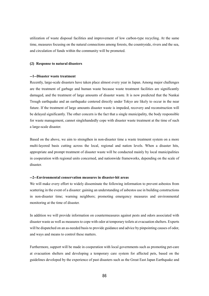utilization of waste disposal facilities and improvement of low carbon-type recycling. At the same time, measures focusing on the natural connections among forests, the countryside, rivers and the sea, and circulation of funds within the community will be promoted.

### **(2) Response to natural disasters**

## **--1--Disaster waste treatment**

Recently, large-scale disasters have taken place almost every year in Japan. Among major challenges are the treatment of garbage and human waste because waste treatment facilities are significantly damaged, and the treatment of large amounts of disaster waste. It is now predicted that the Nankai Trough earthquake and an earthquake centered directly under Tokyo are likely to occur in the near future. If the treatment of large amounts disaster waste is impeded, recovery and reconstruction will be delayed significantly. The other concern is the fact that a single municipality, the body responsible for waste management, cannot singlehandedly cope with disaster waste treatment at the time of such a large-scale disaster.

Based on the above, we aim to strengthen in non-disaster time a waste treatment system on a more multi-layered basis cutting across the local, regional and nation levels. When a disaster hits, appropriate and prompt treatment of disaster waste will be conducted mainly by local municipalities in cooperation with regional units concerned, and nationwide frameworks, depending on the scale of disaster.

### **--2--Environmental conservation measures in disaster-hit areas**

We will make every effort to widely disseminate the following information to prevent asbestos from scattering in the event of a disaster: gaining an understanding of asbestos use in building constructions in non-disaster time; warning neighbors; promoting emergency measures and environmental monitoring at the time of disaster.

In addition we will provide information on countermeasures against pests and odors associated with disaster waste as well as measures to cope with odor at temporary toilets at evacuation shelters. Experts will be dispatched on an as-needed basis to provide guidance and advice by pinpointing causes of odor, and ways and means to control these matters.

Furthermore, support will be made in cooperation with local governments such as promoting pet-care at evacuation shelters and developing a temporary care system for affected pets, based on the guidelines developed by the experience of past disasters such as the Great East Japan Earthquake and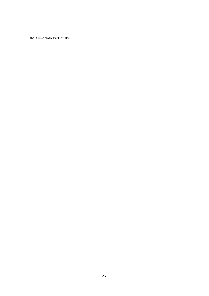the Kumamoto Earthquake.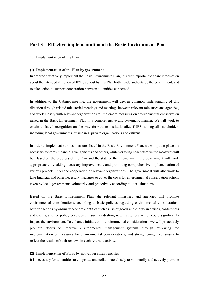# **Part 3 Effective implementation of the Basic Environment Plan**

### **1. Implementation of the Plan**

### **(1) Implementation of the Plan by government**

In order to effectively implement the Basic Environment Plan, it is first important to share information about the intended direction of II2ES set out by this Plan both inside and outside the government, and to take action to support cooperation between all entities concerned.

In addition to the Cabinet meeting, the government will deepen common understanding of this direction through related ministerial meetings and meetings between relevant ministries and agencies, and work closely with relevant organizations to implement measures on environmental conservation raised in the Basic Environment Plan in a comprehensive and systematic manner. We will work to obtain a shared recognition on the way forward to institutionalize II2ES, among all stakeholders including local governments, businesses, private organizations and citizens.

In order to implement various measures listed in the Basic Environment Plan, we will put in place the necessary systems, financial arrangements and others, while verifying how effective the measures will be. Based on the progress of the Plan and the state of the environment, the government will work appropriately by adding necessary improvements, and promoting comprehensive implementation of various projects under the cooperation of relevant organizations. The government will also work to take financial and other necessary measures to cover the costs for environmental conservation actions taken by local governments voluntarily and proactively according to local situations.

Based on the Basic Environment Plan, the relevant ministries and agencies will promote environmental considerations, according to basic policies regarding environmental considerations both for actions by ordinary economic entities such as use of goods and energy in offices, conferences and events, and for policy development such as drafting new institutions which could significantly impact the environment. To enhance initiatives of environmental considerations, we will proactively promote efforts to improve environmental management systems through reviewing the implementation of measures for environmental considerations, and strengthening mechanisms to reflect the results of such reviews in each relevant activity.

#### **(2) Implementation of Plans by non-government entities**

It is necessary for all entities to cooperate and collaborate closely to voluntarily and actively promote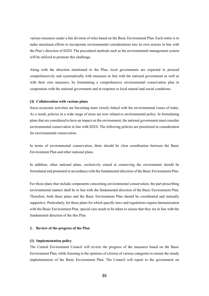various measures under a fair division of roles based on the Basic Environment Plan. Each entity is to make maximum efforts to incorporate environmental considerations into its own actions in line with the Plan's direction of II2ES. The procedural methods such as the environmental management system will be utilized to promote this challenge.

Along with the direction mentioned in the Plan, local governments are expected to proceed comprehensively and systematically with measures in line with the national government as well as with their own measures, by formulating a comprehensive environmental conservation plan in cooperation with the national government and in response to local natural and social conditions.

### **(3) Collaboration with various plans**

Socio-economic activities are becoming more closely linked with the environmental issues of today. As a result, policies in a wide range of areas are now related to environmental policy. In formulating plans that are considered to have an impact on the environment, the national government must consider environmental conservation in line with II2ES. The following policies are prioritized in consideration for environmental conservation.

In terms of environmental conservation, there should be clear coordination between the Basic Environment Plan and other national plans.

In addition, other national plans, exclusively aimed at conserving the environment should be formulated and promoted in accordance with the fundamental direction of the Basic Environment Plan.

For those plans that include components concerning environmental conservation, the part prescribing environmental matters shall be in line with the fundamental direction of the Basic Environment Plan. Therefore, both these plans and the Basic Environment Plan should be coordinated and mutually supportive. Particularly, for those plans for which specific laws and regulations require harmonization with the Basic Environment Plan, special care needs to be taken to ensure that they are in line with the fundamental direction of the this Plan.

#### **2. Review of the progress of the Plan**

### **(1) Implementation policy**

The Central Environment Council will review the progress of the measures based on the Basic Environment Plan, while listening to the opinions of citizens of various categories to ensure the steady implementation of the Basic Environment Plan. The Council will report to the government on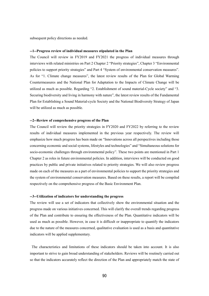subsequent policy directions as needed.

### **--1--Progress review of individual measures stipulated in the Plan**

The Council will review in FY2019 and FY2021 the progress of individual measures through interviews with related ministries on Part 2 Chapter 2 "Priority strategies", Chapter 3 "Environmental policies to support priority strategies" and Part 4 "System of environmental conservation measures". As for "1. Climate change measures", the latest review results of the Plan for Global Warming Countermeasures and the National Plan for Adaptation to the Impacts of Climate Change will be utilized as much as possible. Regarding "2. Establishment of sound material-Cycle society" and "3. Securing biodiversity and living in harmony with nature", the latest review results of the Fundamental Plan for Establishing a Sound Material-cycle Society and the National Biodiversity Strategy of Japan will be utilized as much as possible.

### **--2--Review of comprehensive progress of the Plan**

The Council will review the priority strategies in FY2020 and FY2022 by referring to the review results of individual measures implemented in the previous year respectively. The review will emphasize how much progress has been made on "Innovations across all perspectives including those concerning economic and social systems, lifestyles and technologies" and "Simultaneous solutions for socio-economic challenges through environmental policy". These two points are mentioned in Part 1 Chapter 2 as roles in future environmental policies. In addition, interviews will be conducted on good practices by public and private initiatives related to priority strategies. We will also review progress made on each of the measures as a part of environmental policies to support the priority strategies and the system of environmental conservation measures. Based on these results, a report will be compiled respectively on the comprehensive progress of the Basic Environment Plan.

### **--3--Utilization of indicators for understanding the progress**

The review will use a set of indicators that collectively show the environmental situation and the progress made on various initiatives concerned. This will clarify the overall trends regarding progress of the Plan and contribute to ensuring the effectiveness of the Plan. Quantitative indicators will be used as much as possible. However, in case it is difficult or inappropriate to quantify the indicators due to the nature of the measures concerned, qualitative evaluation is used as a basis and quantitative indicators will be applied supplementary.

The characteristics and limitations of these indicators should be taken into account. It is also important to strive to gain broad understanding of stakeholders. Reviews will be routinely carried out so that the indicators accurately reflect the direction of the Plan and appropriately match the state of